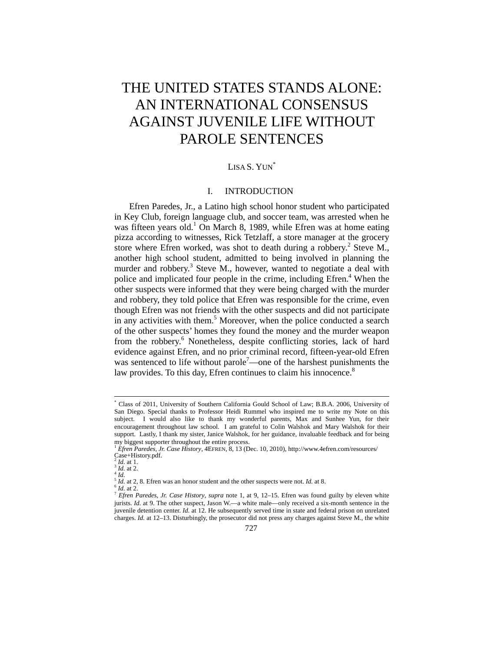# THE UNITED STATES STANDS ALONE: AN INTERNATIONAL CONSENSUS AGAINST JUVENILE LIFE WITHOUT PAROLE SENTENCES

# LISA S. YUN<sup>\*</sup>

#### I. INTRODUCTION

Efren Paredes, Jr., a Latino high school honor student who participated in Key Club, foreign language club, and soccer team, was arrested when he was fifteen years old.<sup>1</sup> On March 8, 1989, while Efren was at home eating pizza according to witnesses, Rick Tetzlaff, a store manager at the grocery store where Efren worked, was shot to death during a robbery.<sup>2</sup> Steve M., another high school student, admitted to being involved in planning the murder and robbery.<sup>3</sup> Steve M., however, wanted to negotiate a deal with police and implicated four people in the crime, including Efren.<sup>4</sup> When the other suspects were informed that they were being charged with the murder and robbery, they told police that Efren was responsible for the crime, even though Efren was not friends with the other suspects and did not participate in any activities with them.<sup>5</sup> Moreover, when the police conducted a search of the other suspects' homes they found the money and the murder weapon from the robbery.<sup>6</sup> Nonetheless, despite conflicting stories, lack of hard evidence against Efren, and no prior criminal record, fifteen-year-old Efren was sentenced to life without parole<sup>7</sup>—one of the harshest punishments the law provides. To this day, Efren continues to claim his innocence.<sup>8</sup>

 <sup>\*</sup> Class of 2011, University of Southern California Gould School of Law; B.B.A. 2006, University of San Diego. Special thanks to Professor Heidi Rummel who inspired me to write my Note on this subject. I would also like to thank my wonderful parents, Max and Sunhee Yun, for their encouragement throughout law school. I am grateful to Colin Walshok and Mary Walshok for their support. Lastly, I thank my sister, Janice Walshok, for her guidance, invaluable feedback and for being my biggest supporter throughout the entire process.

<sup>1</sup> *Efren Paredes, Jr. Case History*, 4EFREN, 8, 13 (Dec. 10, 2010), http://www.4efren.com/resources/ Case+History.pdf.

 $\frac{2}{3}$ *Id.* at 1.<br> $\frac{3}{4}$ *Id.* at 2.<br> $\frac{4}{5}$ *Id.* at 2, 8. Efren was an honor student and the other suspects were not. *Id.* at 8.

 $\frac{6 \text{ Hz}}{6 \text{ Hz}}$  at 2. 2.1.2.1 was an issue station and the same state is  $\frac{1}{2}$ . Eften was found guilty by eleven white jurists. *Id.* at 9. The other suspect, Jason W.—a white male—only received a six-month sentence in the juvenile detention center. *Id.* at 12. He subsequently served time in state and federal prison on unrelated charges. *Id.* at 12–13. Disturbingly, the prosecutor did not press any charges against Steve M., the white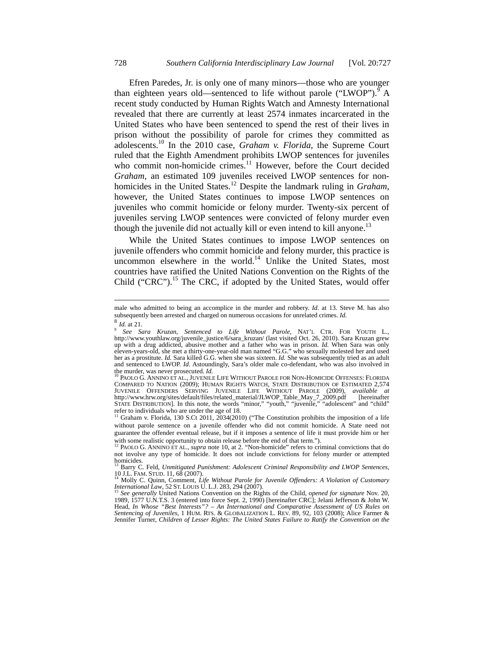Efren Paredes, Jr. is only one of many minors—those who are younger than eighteen years old—sentenced to life without parole ("LWOP").  $\overline{9}$  A recent study conducted by Human Rights Watch and Amnesty International revealed that there are currently at least 2574 inmates incarcerated in the United States who have been sentenced to spend the rest of their lives in prison without the possibility of parole for crimes they committed as adolescents.10 In the 2010 case, *Graham v. Florida,* the Supreme Court ruled that the Eighth Amendment prohibits LWOP sentences for juveniles who commit non-homicide crimes.<sup>11</sup> However, before the Court decided *Graham,* an estimated 109 juveniles received LWOP sentences for nonhomicides in the United States.12 Despite the landmark ruling in *Graham*, however, the United States continues to impose LWOP sentences on juveniles who commit homicide or felony murder. Twenty-six percent of juveniles serving LWOP sentences were convicted of felony murder even though the juvenile did not actually kill or even intend to kill anyone.<sup>13</sup>

While the United States continues to impose LWOP sentences on juvenile offenders who commit homicide and felony murder, this practice is uncommon elsewhere in the world.<sup>14</sup> Unlike the United States, most countries have ratified the United Nations Convention on the Rights of the Child ("CRC").<sup>15</sup> The CRC, if adopted by the United States, would offer

male who admitted to being an accomplice in the murder and robbery. *Id.* at 13. Steve M. has also subsequently been arrested and charged on numerous occasions for unrelated crimes. *Id.* 8 *Id.* at 21. 9 *See Sara Kruzan, Sentenced to Life Without Parole, NAT'L CTR. FOR YOUTH L.,* 

http://www.youthlaw.org/juvenile\_justice/6/sara\_kruzan/ (last visited Oct. 26, 2010). Sara Kruzan grew up with a drug addicted, abusive mother and a father who was in prison. *Id.* When Sara was only eleven-years-old, she met a thirty-one-year-old man named "G.G." who sexually molested her and used her as a prostitute. *Id.* Sara killed G.G. when she was sixteen. *Id.* She was subsequently tried as an adult and sentenced to LWOP. *Id.* Astoundingly, Sara's older male co-defendant, who was also involved in the murder, was never prosecuted. *Id.* <sup>10</sup> PAOLO G. ANNINO ET AL., JUVENILE LIFE WITHOUT PAROLE FOR NON-HOMICIDE OFFENSES: FLORIDA

COMPARED TO NATION (2009); HUMAN RIGHTS WATCH, STATE DISTRIBUTION OF ESTIMATED 2,574 JUVENILE OFFENDERS SERVING JUVENILE LIFE WITHOUT PAROLE (2009), available at<br>http://www.hrw.org/sites/default/files/related\_material/JLWOP\_Table\_May\_7\_2009.pdf [hereinafter<br>STATE DISTRIBUTION]. In this note, the words "min refer to individuals who are under the age of 18.<br><sup>11</sup> Graham v. Florida, 130 S.Ct 2011, 2034(2010) ("The Constitution prohibits the imposition of a life

without parole sentence on a juvenile offender who did not commit homicide. A State need not guarantee the offender eventual release, but if it imposes a sentence of life it must provide him or her with some realistic opportunity to obtain release before the end of that term.").<br><sup>12</sup> PAOLO G. ANNINO ET AL., *supra* note 10, at 2. "Non-homicide" refers to criminal convictions that do

not involve any type of homicide. It does not include convictions for felony murder or attempted homicides. 13 Barry C. Feld, *Unmitigated Punishment: Adolescent Criminal Responsibility and LWOP Sentences*,

<sup>10</sup> J.L. FAM. STUD. 11, 68 (2007).<br><sup>14</sup> Molly C. Quinn, Comment, *Life Without Parole for Juvenile Offenders: A Violation of Customary* 

*International Law*, 52 ST. LOUIS U. L.J. 283, 294 (2007). 15 *See generally* United Nations Convention on the Rights of the Child, *opened for signature* Nov. 20,

<sup>&</sup>lt;sup>15</sup> See generally United Nations Convention on the Rights of the Child, *opened for signature* Nov. 20, 1989, 1577 U.N.T.S. 3 (entered into force Sept. 2, 1990) [hereinafter CRC]; Jelani Jefferson & John W. Head, *In Whose "Best Interests"? – An International and Comparative Assessment of US Rules on Sentencing of Juveniles*, 1 HUM. RTS. & GLOBALIZATION L. REV. 89, 92, 103 (2008); Alice Farmer & Jennifer Turner, *Children of Lesser Rights: The United States Failure to Ratify the Convention on the*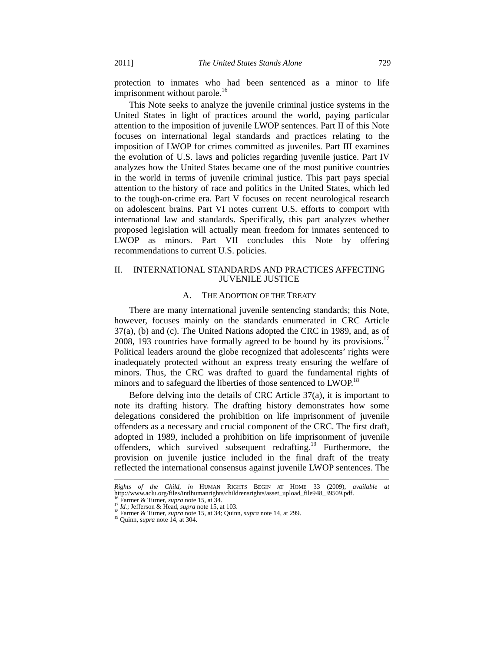protection to inmates who had been sentenced as a minor to life imprisonment without parole.<sup>16</sup>

This Note seeks to analyze the juvenile criminal justice systems in the United States in light of practices around the world, paying particular attention to the imposition of juvenile LWOP sentences. Part II of this Note focuses on international legal standards and practices relating to the imposition of LWOP for crimes committed as juveniles. Part III examines the evolution of U.S. laws and policies regarding juvenile justice. Part IV analyzes how the United States became one of the most punitive countries in the world in terms of juvenile criminal justice. This part pays special attention to the history of race and politics in the United States, which led to the tough-on-crime era. Part V focuses on recent neurological research on adolescent brains. Part VI notes current U.S. efforts to comport with international law and standards. Specifically, this part analyzes whether proposed legislation will actually mean freedom for inmates sentenced to LWOP as minors. Part VII concludes this Note by offering recommendations to current U.S. policies.

#### II. INTERNATIONAL STANDARDS AND PRACTICES AFFECTING JUVENILE JUSTICE

#### A. THE ADOPTION OF THE TREATY

There are many international juvenile sentencing standards; this Note, however, focuses mainly on the standards enumerated in CRC Article 37(a), (b) and (c). The United Nations adopted the CRC in 1989, and, as of 2008, 193 countries have formally agreed to be bound by its provisions.<sup>17</sup> Political leaders around the globe recognized that adolescents' rights were inadequately protected without an express treaty ensuring the welfare of minors. Thus, the CRC was drafted to guard the fundamental rights of minors and to safeguard the liberties of those sentenced to  $LWOP<sup>18</sup>$ 

Before delving into the details of CRC Article 37(a), it is important to note its drafting history. The drafting history demonstrates how some delegations considered the prohibition on life imprisonment of juvenile offenders as a necessary and crucial component of the CRC. The first draft, adopted in 1989, included a prohibition on life imprisonment of juvenile offenders, which survived subsequent redrafting.19 Furthermore, the provision on juvenile justice included in the final draft of the treaty reflected the international consensus against juvenile LWOP sentences. The

l

*Rights of the Child, in* HUMAN RIGHTS BEGIN AT HOME 33 (2009), *available at*  http://www.aclu.org/files/intlhumanrights/childrensrights/asset\_upload\_file948\_39509.pdf.<br><sup>16</sup> Farmer & Turner, *supra* note 15, at 34.<br><sup>17</sup> Id.; Jefferson & Head, *supra* note 15, at 103.<br><sup>18</sup> Farmer & Turner, *supra* no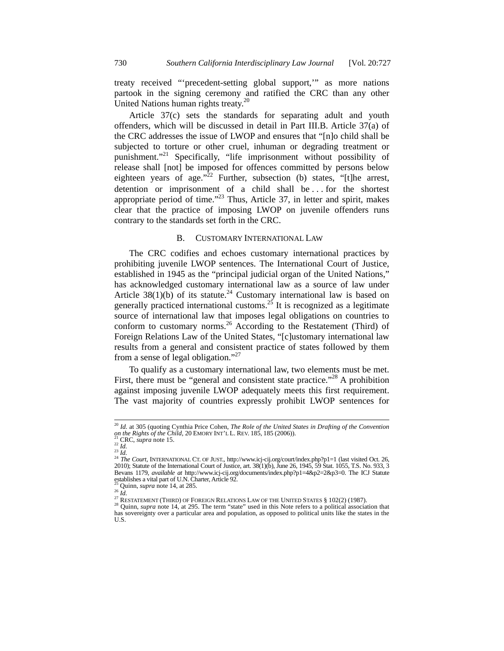treaty received "'precedent-setting global support,'" as more nations partook in the signing ceremony and ratified the CRC than any other United Nations human rights treaty.<sup>20</sup>

Article 37(c) sets the standards for separating adult and youth offenders, which will be discussed in detail in Part III.B. Article 37(a) of the CRC addresses the issue of LWOP and ensures that "[n]o child shall be subjected to torture or other cruel, inhuman or degrading treatment or punishment."<sup>21</sup> Specifically, "life imprisonment without possibility of release shall [not] be imposed for offences committed by persons below eighteen years of age." $2^2$  Further, subsection (b) states, "[t]he arrest, detention or imprisonment of a child shall be . . . for the shortest appropriate period of time."23 Thus, Article 37, in letter and spirit, makes clear that the practice of imposing LWOP on juvenile offenders runs contrary to the standards set forth in the CRC.

#### B. CUSTOMARY INTERNATIONAL LAW

The CRC codifies and echoes customary international practices by prohibiting juvenile LWOP sentences. The International Court of Justice, established in 1945 as the "principal judicial organ of the United Nations," has acknowledged customary international law as a source of law under Article  $38(1)(b)$  of its statute.<sup>24</sup> Customary international law is based on generally practiced international customs.<sup>25</sup> It is recognized as a legitimate source of international law that imposes legal obligations on countries to conform to customary norms.<sup>26</sup> According to the Restatement (Third) of Foreign Relations Law of the United States, "[c]ustomary international law results from a general and consistent practice of states followed by them from a sense of legal obligation."<sup>27</sup>

To qualify as a customary international law, two elements must be met. First, there must be "general and consistent state practice."<sup>28</sup> A prohibition against imposing juvenile LWOP adequately meets this first requirement. The vast majority of countries expressly prohibit LWOP sentences for

<sup>&</sup>lt;sup>20</sup> *Id.* at 305 (quoting Cynthia Price Cohen, *The Role of the United States in Drafting of the Convention on the Rights of the Child,* 20 EMORY INT'L L. REV. 185, 185 (2006)).

on the Rights of the Child, 20 EMORY INT'L L. REV. 185, 185 (2006)).<br><sup>22</sup> CRC, *supra* note 15.<br><sup>22</sup> Id.<br><sup>24</sup> Ile Court, INTERNATIONAL CT. OF JUST., http://www.icj-cij.org/court/index.php?p1=1 (last visited Oct. 26,<br><sup>24</sup> T Bevans 1179, *available at* http://www.icj-cij.org/documents/index.php?p1=4&p2=2&p3=0. The ICJ Statute establishes a vital part of U.N. Charter, Article 92.<br><sup>25</sup> Quinn, *supra* note 14, at 285.

<sup>26</sup> Id.<br>
27 RESTATEMENT (THIRD) OF FOREIGN RELATIONS LAW OF THE UNITED STATES § 102(2) (1987).<br>
<sup>27</sup> RESTATEMENT (THIRD) OF FOREIGN RELATIONS LAW OF THE UNITED STATES § 102(2) (1987).<br>
<sup>28</sup> Quinn, *supra* note 14, at 295. has sovereignty over a particular area and population, as opposed to political units like the states in the U.S.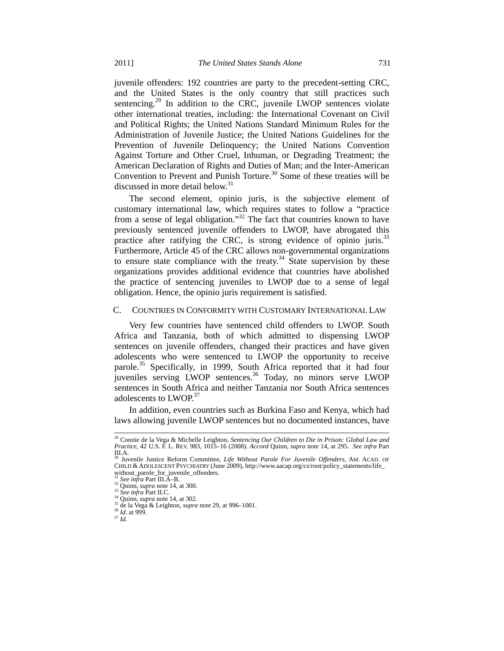juvenile offenders: 192 countries are party to the precedent-setting CRC, and the United States is the only country that still practices such sentencing.<sup>29</sup> In addition to the CRC, juvenile LWOP sentences violate other international treaties, including: the International Covenant on Civil and Political Rights; the United Nations Standard Minimum Rules for the Administration of Juvenile Justice; the United Nations Guidelines for the Prevention of Juvenile Delinquency; the United Nations Convention Against Torture and Other Cruel, Inhuman, or Degrading Treatment; the American Declaration of Rights and Duties of Man; and the Inter-American Convention to Prevent and Punish Torture.<sup>30</sup> Some of these treaties will be discussed in more detail below.<sup>31</sup>

The second element, opinio juris, is the subjective element of customary international law, which requires states to follow a "practice from a sense of legal obligation." $32$  The fact that countries known to have previously sentenced juvenile offenders to LWOP, have abrogated this practice after ratifying the CRC, is strong evidence of opinio juris.<sup>33</sup> Furthermore, Article 45 of the CRC allows non-governmental organizations to ensure state compliance with the treaty.<sup>34</sup> State supervision by these organizations provides additional evidence that countries have abolished the practice of sentencing juveniles to LWOP due to a sense of legal obligation. Hence, the opinio juris requirement is satisfied.

#### C. COUNTRIES IN CONFORMITY WITH CUSTOMARY INTERNATIONAL LAW

Very few countries have sentenced child offenders to LWOP. South Africa and Tanzania, both of which admitted to dispensing LWOP sentences on juvenile offenders, changed their practices and have given adolescents who were sentenced to LWOP the opportunity to receive parole.<sup>35</sup> Specifically, in 1999, South Africa reported that it had four juveniles serving LWOP sentences.<sup>36</sup> Today, no minors serve LWOP sentences in South Africa and neither Tanzania nor South Africa sentences adolescents to LWOP.<sup>37</sup>

In addition, even countries such as Burkina Faso and Kenya, which had laws allowing juvenile LWOP sentences but no documented instances, have

 <sup>29</sup> Connie de la Vega & Michelle Leighton, *Sentencing Our Children to Die in Prison: Global Law and Practice*, 42 U.S. F. L. REV. 983, 1015–16 (2008). *Accord* Quinn, *supra* note 14, at 295. *See infra* Part  $III.A.$ 

<sup>30</sup> Juvenile Justice Reform Committee, *Life Without Parole For Juvenile Offenders*, AM. ACAD. OF CHILD & ADOLESCENT PSYCHIATRY (June 2009), http://www.aacap.org/cs/root/policy\_statements/life\_ without\_parole\_for\_juvenile\_offenders.<br><sup>31</sup> See infra Part III.A-B.<br><sup>32</sup> Quinn, *supra* note 14, at 300.

<sup>33</sup> See infra Part II.C.<br>
34 Quinn, *supra* note 14, at 302.<br>
<sup>35</sup> de la Vega & Leighton, *supra* note 29, at 996–1001.<br>
<sup>36</sup> *Id.* at 999.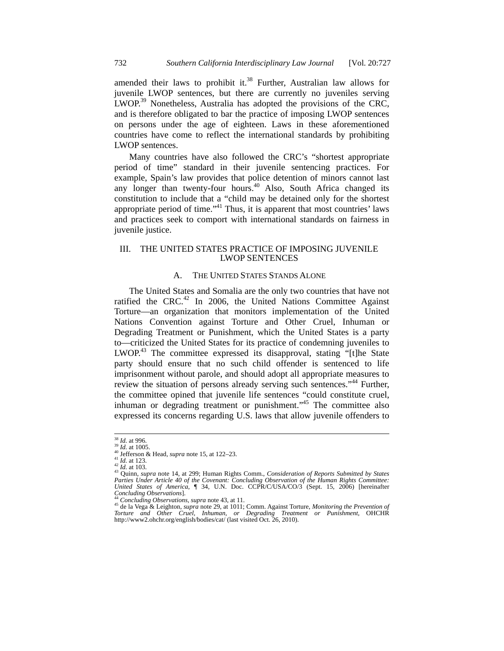amended their laws to prohibit it.<sup>38</sup> Further, Australian law allows for juvenile LWOP sentences, but there are currently no juveniles serving LWOP.<sup>39</sup> Nonetheless, Australia has adopted the provisions of the CRC, and is therefore obligated to bar the practice of imposing LWOP sentences on persons under the age of eighteen. Laws in these aforementioned countries have come to reflect the international standards by prohibiting LWOP sentences.

Many countries have also followed the CRC's "shortest appropriate period of time" standard in their juvenile sentencing practices. For example, Spain's law provides that police detention of minors cannot last any longer than twenty-four hours.<sup>40</sup> Also, South Africa changed its constitution to include that a "child may be detained only for the shortest appropriate period of time."<sup>41</sup> Thus, it is apparent that most countries' laws and practices seek to comport with international standards on fairness in juvenile justice.

# III. THE UNITED STATES PRACTICE OF IMPOSING JUVENILE LWOP SENTENCES

# A. THE UNITED STATES STANDS ALONE

The United States and Somalia are the only two countries that have not ratified the CRC.<sup>42</sup> In 2006, the United Nations Committee Against Torture—an organization that monitors implementation of the United Nations Convention against Torture and Other Cruel, Inhuman or Degrading Treatment or Punishment, which the United States is a party to—criticized the United States for its practice of condemning juveniles to LWOP.<sup>43</sup> The committee expressed its disapproval, stating "[t]he State party should ensure that no such child offender is sentenced to life imprisonment without parole, and should adopt all appropriate measures to review the situation of persons already serving such sentences."<sup>44</sup> Further, the committee opined that juvenile life sentences "could constitute cruel, inhuman or degrading treatment or punishment."<sup>45</sup> The committee also expressed its concerns regarding U.S. laws that allow juvenile offenders to

<sup>&</sup>lt;sup>38</sup> *Id.* at 1005.<br><sup>39</sup> *Id.* at 1005.<br><sup>41</sup> Jefferson & Head, *supra* note 15, at 122–23.<br><sup>41</sup> *Id.* at 123.<br><sup>43</sup> *Id.* at 123.<br><sup>43</sup> Quinn, *supra* note 14, at 299; Human Rights Comm., *Consideration of Reports Submitted Parties Under Article 40 of the Covenant: Concluding Observation of the Human Rights Committee: United States of America*, ¶ 34, U.N. Doc. CCPR/C/USA/CO/3 (Sept. 15, 2006) [hereinafter *Concluding Observations*].<br><sup>44</sup> *Concluding Observations*, *supra* note 43, at 11.<br><sup>45</sup> de la Vega & Leighton, *supra* note 29, at 1011; Comm. Against Torture, *Monitoring the Prevention of* 

*Torture and Other Cruel, Inhuman, or Degrading Treatment or Punishment*, OHCHR http://www2.ohchr.org/english/bodies/cat/ (last visited Oct. 26, 2010).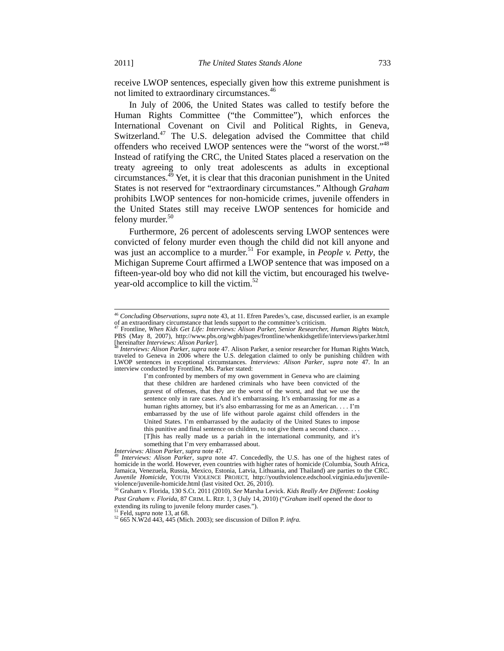receive LWOP sentences, especially given how this extreme punishment is not limited to extraordinary circumstances.<sup>46</sup>

In July of 2006, the United States was called to testify before the Human Rights Committee ("the Committee"), which enforces the International Covenant on Civil and Political Rights, in Geneva, Switzerland.<sup>47</sup> The U.S. delegation advised the Committee that child offenders who received LWOP sentences were the "worst of the worst."48 Instead of ratifying the CRC, the United States placed a reservation on the treaty agreeing to only treat adolescents as adults in exceptional circumstances. $^{45}$  Yet, it is clear that this draconian punishment in the United States is not reserved for "extraordinary circumstances." Although *Graham* prohibits LWOP sentences for non-homicide crimes, juvenile offenders in the United States still may receive LWOP sentences for homicide and felony murder.<sup>50</sup>

Furthermore, 26 percent of adolescents serving LWOP sentences were convicted of felony murder even though the child did not kill anyone and was just an accomplice to a murder.<sup>51</sup> For example, in *People v. Petty*, the Michigan Supreme Court affirmed a LWOP sentence that was imposed on a fifteen-year-old boy who did not kill the victim, but encouraged his twelveyear-old accomplice to kill the victim.<sup>52</sup>

I'm confronted by members of my own government in Geneva who are claiming that these children are hardened criminals who have been convicted of the gravest of offenses, that they are the worst of the worst, and that we use the sentence only in rare cases. And it's embarrassing. It's embarrassing for me as a human rights attorney, but it's also embarrassing for me as an American. . . . I'm embarrassed by the use of life without parole against child offenders in the United States. I'm embarrassed by the audacity of the United States to impose this punitive and final sentence on children, to not give them a second chance. . . .

<sup>&</sup>lt;sup>46</sup> *Concluding Observations, supra* note 43, at 11. Efren Paredes's, case, discussed earlier, is an example of an extraordinary circumstance that lends support to the committee's criticism. of an extraordinary circumstance that lends support to the committee's criticism. 47 Frontline, *When Kids Get Life: Interviews: Alison Parker, Senior Researcher, Human Rights Watch*,

PBS (May 8, 2007), http://www.pbs.org/wgbh/pages/frontline/whenkidsgetlife/interviews/parker.html [hereinafter *Interviews: Alison Parker*]. 48 *Interviews: Alison Parker*, *supra* note 47. Alison Parker, a senior researcher for Human Rights Watch,

traveled to Geneva in 2006 where the U.S. delegation claimed to only be punishing children with LWOP sentences in exceptional circumstances. *Interviews: Alison Parker*, *supra* note 47. In an interview conducted by Frontline, Ms. Parker stated:

<sup>[</sup>T]his has really made us a pariah in the international community, and it's something that I'm very embarrassed about.<br>Interviews: Alison Parker, supra note 47.

*Interviews: Alison Parker*, *supra* note 47. Concededly, the U.S. has one of the highest rates of homicide in the world. However, even countries with higher rates of homicide (Columbia, South Africa, Jamaica, Venezuela, Russia, Mexico, Estonia, Latvia, Lithuania, and Thailand) are parties to the CRC. *Juvenile Homicide*, YOUTH VIOLENCE PROJECT, http://youthviolence.edschool.virginia.edu/juvenileviolence/juvenile-homicide.html (last visited Oct. 26, 2010).

<sup>50</sup> Graham v. Florida, 130 S.Ct. 2011 (2010). *See* Marsha Levick. *Kids Really Are Different: Looking Past Graham v. Florida*, 87 CRIM. L. REP. 1, 3 (July 14, 2010) ("*Graham* itself opened the door to extending its ruling to juvenile felony murder cases.").

<sup>&</sup>lt;sup>51</sup> Feld, *supra* note 13, at 68.<br><sup>52</sup> 665 N.W2d 443, 445 (Mich. 2003); see discussion of Dillon P. *infra*.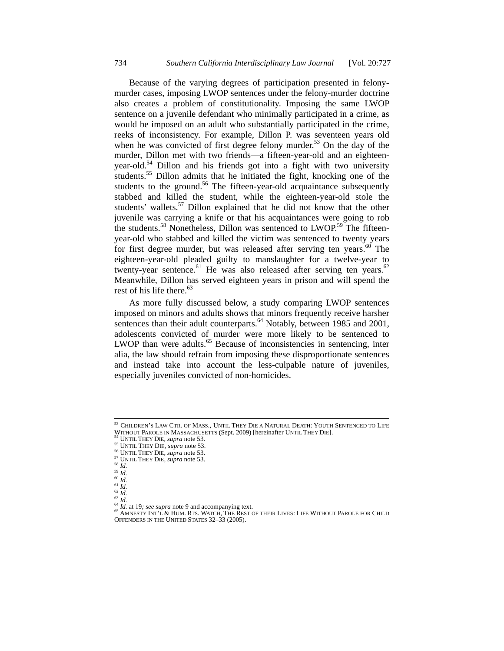Because of the varying degrees of participation presented in felonymurder cases, imposing LWOP sentences under the felony-murder doctrine also creates a problem of constitutionality. Imposing the same LWOP sentence on a juvenile defendant who minimally participated in a crime, as would be imposed on an adult who substantially participated in the crime, reeks of inconsistency. For example, Dillon P. was seventeen years old when he was convicted of first degree felony murder.<sup>53</sup> On the day of the murder, Dillon met with two friends—a fifteen-year-old and an eighteenyear-old.<sup>54</sup> Dillon and his friends got into a fight with two university students.<sup>55</sup> Dillon admits that he initiated the fight, knocking one of the students to the ground.<sup>56</sup> The fifteen-year-old acquaintance subsequently stabbed and killed the student, while the eighteen-year-old stole the students' wallets.<sup>57</sup> Dillon explained that he did not know that the other juvenile was carrying a knife or that his acquaintances were going to rob the students.<sup>58</sup> Nonetheless, Dillon was sentenced to LWOP.<sup>59</sup> The fifteenyear-old who stabbed and killed the victim was sentenced to twenty years for first degree murder, but was released after serving ten years.<sup>60</sup> The eighteen-year-old pleaded guilty to manslaughter for a twelve-year to twenty-year sentence.<sup>61</sup> He was also released after serving ten years.<sup>62</sup> Meanwhile, Dillon has served eighteen years in prison and will spend the rest of his life there.<sup>63</sup>

As more fully discussed below, a study comparing LWOP sentences imposed on minors and adults shows that minors frequently receive harsher sentences than their adult counterparts. $64$  Notably, between 1985 and 2001, adolescents convicted of murder were more likely to be sentenced to LWOP than were adults.<sup>65</sup> Because of inconsistencies in sentencing, inter alia, the law should refrain from imposing these disproportionate sentences and instead take into account the less-culpable nature of juveniles, especially juveniles convicted of non-homicides.

<sup>&</sup>lt;sup>53</sup> CHILDREN'S LAW CTR. OF MASS., UNTIL THEY DIE A NATURAL DEATH: YOUTH SENTENCED TO LIFE<br>WITHOUT PAROLE IN MASSACHUSETTS (Sept. 2009) [hereinafter UNTIL THEY DIE]. WITHOUT PAROLE IN MASSACHUSETTS (Sept. 2009) [hereinafter UNTIL THEY DIE].<br><sup>55</sup> UNTIL THEY DIE, *supra* note 53.<br><sup>56</sup> UNTIL THEY DIE, *supra* note 53.<br><sup>56</sup> UNTIL THEY DIE, *supra* note 53.<br><sup>57</sup> UNTIL THEY DIE, *supra* note

<sup>65</sup> AMNESTY INT'L & HUM. RTS. WATCH, THE REST OF THEIR LIVES: LIFE WITHOUT PAROLE FOR CHILD<br>OFFENDERS IN THE UNITED STATES 32–33 (2005).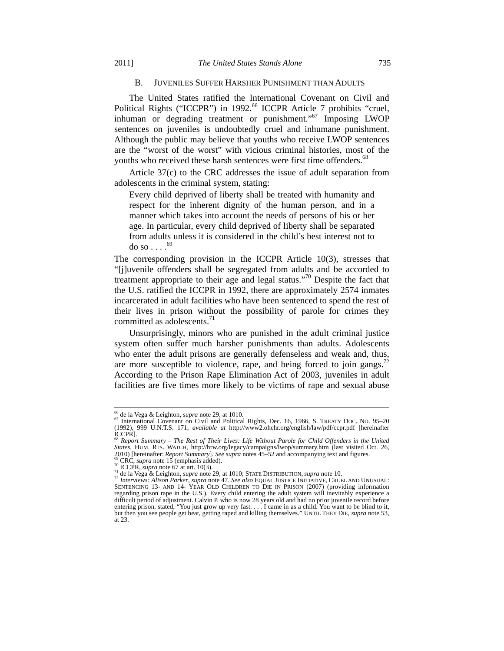#### B. JUVENILES SUFFER HARSHER PUNISHMENT THAN ADULTS

The United States ratified the International Covenant on Civil and Political Rights ("ICCPR") in 1992.<sup>66</sup> ICCPR Article 7 prohibits "cruel, inhuman or degrading treatment or punishment."<sup>67</sup> Imposing LWOP sentences on juveniles is undoubtedly cruel and inhumane punishment. Although the public may believe that youths who receive LWOP sentences are the "worst of the worst" with vicious criminal histories, most of the youths who received these harsh sentences were first time offenders.<sup>68</sup>

Article 37(c) to the CRC addresses the issue of adult separation from adolescents in the criminal system, stating:

Every child deprived of liberty shall be treated with humanity and respect for the inherent dignity of the human person, and in a manner which takes into account the needs of persons of his or her age. In particular, every child deprived of liberty shall be separated from adults unless it is considered in the child's best interest not to do so  $\ldots$ .<sup>69</sup>

The corresponding provision in the ICCPR Article 10(3), stresses that "[j]uvenile offenders shall be segregated from adults and be accorded to treatment appropriate to their age and legal status."70 Despite the fact that the U.S. ratified the ICCPR in 1992, there are approximately 2574 inmates incarcerated in adult facilities who have been sentenced to spend the rest of their lives in prison without the possibility of parole for crimes they committed as adolescents.<sup>71</sup>

Unsurprisingly, minors who are punished in the adult criminal justice system often suffer much harsher punishments than adults. Adolescents who enter the adult prisons are generally defenseless and weak and, thus, are more susceptible to violence, rape, and being forced to join gangs.<sup>72</sup> According to the Prison Rape Elimination Act of 2003, juveniles in adult facilities are five times more likely to be victims of rape and sexual abuse

<sup>&</sup>lt;sup>66</sup> de la Vega & Leighton, *supra* note 29, at 1010.<br><sup>67</sup> International Covenant on Civil and Political Rights, Dec. 16, 1966, S. TREATY DOC. NO. 95–20 (1992), 999 U.N.T.S. 171, *available at* http://www2.ohchr.org/english/law/pdf/ccpr.pdf [hereinafter ICCPR]. <sup>68</sup> *Report Summary* – *The Rest of Their Lives: Life Without Parole for Child Offenders in the United* 

*States, HUM. RTS. WATCH, http://hrw.org/legacy/campaigns/lwop/summary.htm (last visited Oct. 26, 2010) [hereinafter: <i>Report Summary*]. *See supra* notes 45–52 and accompanying text and figures.

<sup>&</sup>lt;sup>69</sup> CRC, *supra* note 15 (emphasis added).<br><sup>70</sup> ICCPR, *supra* note 67 at art. 10(3).<br><sup>71</sup> de la Vega & Leighton, *supra* note 29, at 1010; STATE DISTRIBUTION, *supra* note 10.<br><sup>72</sup> Interviews: Alison Parker, *supra* not regarding prison rape in the U.S.). Every child entering the adult system will inevitably experience a difficult period of adjustment. Calvin P. who is now 28 years old and had no prior juvenile record before entering prison, stated, "You just grow up very fast. . . . I came in as a child. You want to be blind to it, but then you see people get beat, getting raped and killing themselves." UNTIL THEY DIE, *supra* note 53, at 23.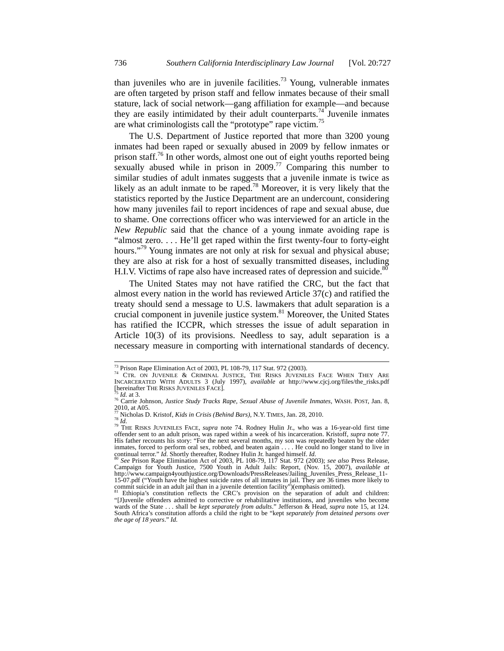than juveniles who are in juvenile facilities.<sup>73</sup> Young, vulnerable inmates are often targeted by prison staff and fellow inmates because of their small stature, lack of social network—gang affiliation for example—and because they are easily intimidated by their adult counterparts.<sup>74</sup> Juvenile inmates are what criminologists call the "prototype" rape victim.<sup>75</sup>

The U.S. Department of Justice reported that more than 3200 young inmates had been raped or sexually abused in 2009 by fellow inmates or prison staff.<sup>76</sup> In other words, almost one out of eight youths reported being sexually abused while in prison in  $2009<sup>77</sup>$  Comparing this number to similar studies of adult inmates suggests that a juvenile inmate is twice as likely as an adult inmate to be raped.<sup>78</sup> Moreover, it is very likely that the statistics reported by the Justice Department are an undercount, considering how many juveniles fail to report incidences of rape and sexual abuse, due to shame. One corrections officer who was interviewed for an article in the *New Republic* said that the chance of a young inmate avoiding rape is "almost zero. . . . He'll get raped within the first twenty-four to forty-eight hours."<sup>79</sup> Young inmates are not only at risk for sexual and physical abuse; they are also at risk for a host of sexually transmitted diseases, including H.I.V. Victims of rape also have increased rates of depression and suicide.<sup>80</sup>

The United States may not have ratified the CRC, but the fact that almost every nation in the world has reviewed Article 37(c) and ratified the treaty should send a message to U.S. lawmakers that adult separation is a crucial component in juvenile justice system. $81$  Moreover, the United States has ratified the ICCPR, which stresses the issue of adult separation in Article 10(3) of its provisions. Needless to say, adult separation is a necessary measure in comporting with international standards of decency.

<sup>&</sup>lt;sup>73</sup> Prison Rape Elimination Act of 2003, PL 108-79, 117 Stat. 972 (2003).  $74$  CTR. ON JUVENILE & CRIMINAL JUSTICE, THE RISKS JUVENILES FACE WHEN THEY ARE INCARCERATED WITH ADULTS 3 (July 1997), *available at* http://www.cjcj.org/files/the\_risks.pdf

<sup>&</sup>lt;sup>75</sup> Id. at 3.<br><sup>76</sup> Carrie Johnson, *Justice Study Tracks Rape, Sexual Abuse of Juvenile Inmates*, WASH. POST, Jan. 8,  $2010$ , at A05.

<sup>77</sup> Nicholas D. Kristof, *Kids in Crisis (Behind Bars)*, N.Y. TIMES, Jan. 28, 2010. 78 *Id.* 79 THE RISKS JUVENILES FACE, *supra* note 74. Rodney Hulin Jr., who was a 16-year-old first time offender sent to an adult prison, was raped within a week of his incarceration. Kristoff, *supra* note 77. His father recounts his story: "For the next several months, my son was repeatedly beaten by the older inmates, forced to perform oral sex, robbed, and beaten again . . . . He could no longer stand to live in continual terror." *Id.* Shortly thereafter, Rodney Hulin Jr. hanged himself. *Id.* 80 *See* Prison Rape Elimination Act of 2003, PL 108-79, 117 Stat. 972 (2003); *see also* Press Release,

Campaign for Youth Justice, 7500 Youth in Adult Jails: Report, (Nov. 15, 2007), *available at*  http://www.campaign4youthjustice.org/Downloads/PressReleases/Jailing\_Juveniles\_Press\_Release\_11- 15-07.pdf ("Youth have the highest suicide rates of all inmates in jail. They are 36 times more likely to commit suicide in an adult jail than in a juvenile detention facility")(emphasis omitted).<br><sup>81</sup> Ethiopia's constitution reflects the CRC's provision on the separation of adult and children:

<sup>&</sup>quot;[J]uvenile offenders admitted to corrective or rehabilitative institutions, and juveniles who become wards of the State . . . shall be *kept separately from adults*." Jefferson & Head, *supra* note 15, at 124. South Africa's constitution affords a child the right to be "kept *separately from detained persons over the age of 18 years*." *Id.*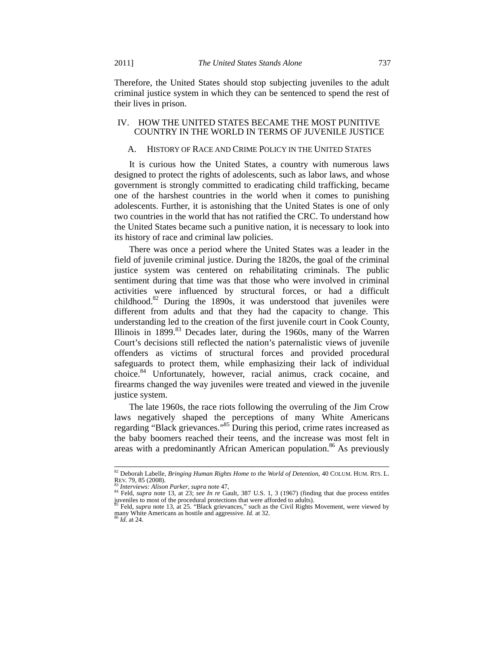Therefore, the United States should stop subjecting juveniles to the adult criminal justice system in which they can be sentenced to spend the rest of their lives in prison.

# IV. HOW THE UNITED STATES BECAME THE MOST PUNITIVE COUNTRY IN THE WORLD IN TERMS OF JUVENILE JUSTICE

# A. HISTORY OF RACE AND CRIME POLICY IN THE UNITED STATES

It is curious how the United States, a country with numerous laws designed to protect the rights of adolescents, such as labor laws, and whose government is strongly committed to eradicating child trafficking, became one of the harshest countries in the world when it comes to punishing adolescents. Further, it is astonishing that the United States is one of only two countries in the world that has not ratified the CRC. To understand how the United States became such a punitive nation, it is necessary to look into its history of race and criminal law policies.

There was once a period where the United States was a leader in the field of juvenile criminal justice. During the 1820s, the goal of the criminal justice system was centered on rehabilitating criminals. The public sentiment during that time was that those who were involved in criminal activities were influenced by structural forces, or had a difficult childhood. $82$  During the 1890s, it was understood that juveniles were different from adults and that they had the capacity to change. This understanding led to the creation of the first juvenile court in Cook County, Illinois in  $1899$ <sup>83</sup> Decades later, during the 1960s, many of the Warren Court's decisions still reflected the nation's paternalistic views of juvenile offenders as victims of structural forces and provided procedural safeguards to protect them, while emphasizing their lack of individual choice.84 Unfortunately, however, racial animus, crack cocaine, and firearms changed the way juveniles were treated and viewed in the juvenile justice system.

The late 1960s, the race riots following the overruling of the Jim Crow laws negatively shaped the perceptions of many White Americans regarding "Black grievances."85 During this period, crime rates increased as the baby boomers reached their teens, and the increase was most felt in areas with a predominantly African American population.<sup>86</sup> As previously

<sup>&</sup>lt;sup>82</sup> Deborah Labelle, *Bringing Human Rights Home to the World of Detention*, 40 COLUM. HUM. RTS. L.<br>REV. 79, 85 (2008).<br><sup>83</sup> Internisius: Alian Raghts, survey acts 47

<sup>&</sup>lt;sup>83</sup> *Interviews: Alison Parker*, *supra* note 47,<br><sup>84</sup> Feld, *supra* note 13, at 23; *see In re* Gault, 387 U.S. 1, 3 (1967) (finding that due process entitles juveniles to most of the procedural protections that were afforded to adults). 85 Feld, *supra* note 13, at 25. "Black grievances," such as the Civil Rights Movement, were viewed by

many White Americans as hostile and aggressive. *Id.* at 32. 86 *Id.* at 24.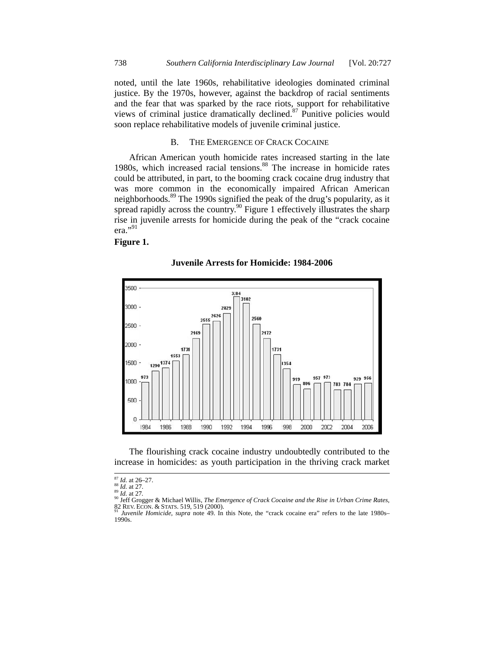noted, until the late 1960s, rehabilitative ideologies dominated criminal justice. By the 1970s, however, against the backdrop of racial sentiments and the fear that was sparked by the race riots, support for rehabilitative views of criminal justice dramatically declined.<sup>87</sup> Punitive policies would soon replace rehabilitative models of juvenile criminal justice.

#### B. THE EMERGENCE OF CRACK COCAINE

African American youth homicide rates increased starting in the late 1980s, which increased racial tensions.<sup>88</sup> The increase in homicide rates could be attributed, in part, to the booming crack cocaine drug industry that was more common in the economically impaired African American neighborhoods.<sup>89</sup> The 1990s signified the peak of the drug's popularity, as it spread rapidly across the country.<sup>90</sup> Figure 1 effectively illustrates the sharp rise in juvenile arrests for homicide during the peak of the "crack cocaine era."91

# **Figure 1.**



#### **Juvenile Arrests for Homicide: 1984-2006**

The flourishing crack cocaine industry undoubtedly contributed to the increase in homicides: as youth participation in the thriving crack market

 $\overline{\phantom{a}}$ 

l

 $\overline{\phantom{a}}$ 

l

l

 $\overline{\phantom{a}}$ 

l

<sup>6–27.</sup>  7.

<sup>&</sup>lt;sup>87</sup> *Id.* at 26<br><sup>88</sup> *Id.* at 27<br><sup>89</sup> *Id.* at 27<br><sup>90</sup> Jeff Gro

 $^{89}$   $\overline{1}d$ , at 27.

<sup>82</sup> REV. ECON. & STATS. 519<br><sup>91</sup> Juvenile Homicide, supra ogger & Michael W Willis, *The Emerge ence of Crack Coca aine and the Rise in Urban Crime R Rates*, 9, 519 (2000).

<sup>1990</sup>s. *e Homicide*, *supra* a note 49. In this Note, the "crack cocaine era" refers to the late 1980s-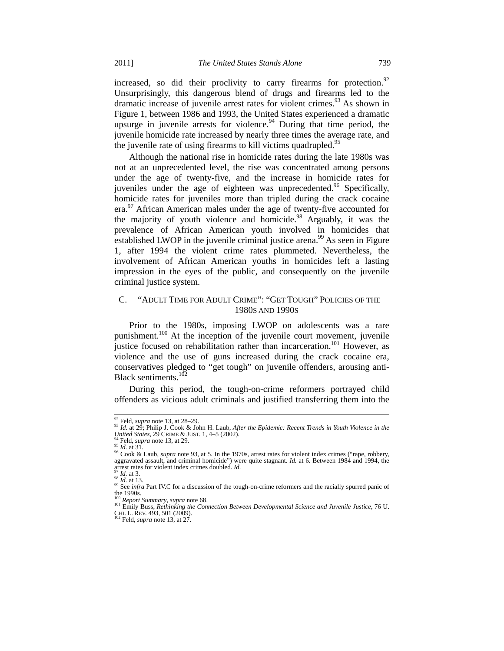increased, so did their proclivity to carry firearms for protection. $92$ Unsurprisingly, this dangerous blend of drugs and firearms led to the dramatic increase of juvenile arrest rates for violent crimes.<sup>93</sup> As shown in Figure 1, between 1986 and 1993, the United States experienced a dramatic upsurge in juvenile arrests for violence.<sup>94</sup> During that time period, the juvenile homicide rate increased by nearly three times the average rate, and the juvenile rate of using firearms to kill victims quadrupled.<sup>95</sup>

Although the national rise in homicide rates during the late 1980s was not at an unprecedented level, the rise was concentrated among persons under the age of twenty-five, and the increase in homicide rates for juveniles under the age of eighteen was unprecedented.<sup>96</sup> Specifically, homicide rates for juveniles more than tripled during the crack cocaine era.97 African American males under the age of twenty-five accounted for the majority of youth violence and homicide.<sup>98</sup> Arguably, it was the prevalence of African American youth involved in homicides that established LWOP in the juvenile criminal justice arena.<sup>99</sup> As seen in Figure 1, after 1994 the violent crime rates plummeted. Nevertheless, the involvement of African American youths in homicides left a lasting impression in the eyes of the public, and consequently on the juvenile criminal justice system.

# C. "ADULT TIME FOR ADULT CRIME": "GET TOUGH" POLICIES OF THE 1980S AND 1990S

Prior to the 1980s, imposing LWOP on adolescents was a rare punishment.<sup>100</sup> At the inception of the juvenile court movement, juvenile justice focused on rehabilitation rather than incarceration.<sup>101</sup> However, as violence and the use of guns increased during the crack cocaine era, conservatives pledged to "get tough" on juvenile offenders, arousing anti-Black sentiments.<sup>102</sup>

During this period, the tough-on-crime reformers portrayed child offenders as vicious adult criminals and justified transferring them into the

<sup>&</sup>lt;sup>92</sup> Feld, *supra* note 13, at 28–29.<br><sup>93</sup> Id. at 29; Philip J. Cook & John H. Laub, *After the Epidemic: Recent Trends in Youth Violence in the United States, 29 CRIME & JUST. 1, 4–5 (2002).* 

<sup>&</sup>lt;sup>94</sup> Feld, *supra* note 13, at 29.<br><sup>95</sup> *Id.* at 31.<br><sup>96</sup> Cook & Laub, *supra* note 93, at 5. In the 1970s, arrest rates for violent index crimes ("rape, robbery, aggravated assault, and criminal homicide") were quite stagnant. *Id.* at 6. Between 1984 and 1994, the arrest rates for violent index crimes doubled. *Id.* 

<sup>&</sup>lt;sup>97</sup> *Id.* at 3.<br><sup>98</sup> *Id.* at 13. <br><sup>99</sup> See *infra* Part IV.C for a discussion of the tough-on-crime reformers and the racially spurred panic of the 1990s.<br><sup>100</sup> Report Summary, supra note 68.

<sup>100</sup> *Report Summary*, *supra* note 68. 101 Emily Buss, *Rethinking the Connection Between Developmental Science and Juvenile Justice*, 76 U. CHI. L. REV. 493, 501 (2009). 102 Feld, *supra* note 13, at 27.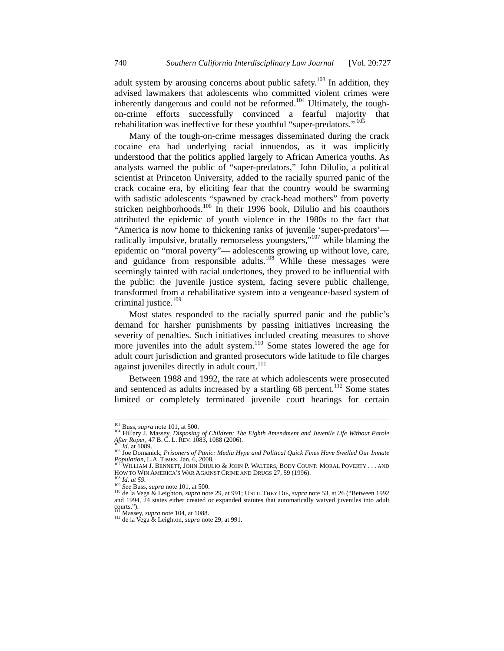adult system by arousing concerns about public safety.<sup>103</sup> In addition, they advised lawmakers that adolescents who committed violent crimes were inherently dangerous and could not be reformed.<sup>104</sup> Ultimately, the toughon-crime efforts successfully convinced a fearful majority that rehabilitation was ineffective for these youthful "super-predators." 105

Many of the tough-on-crime messages disseminated during the crack cocaine era had underlying racial innuendos, as it was implicitly understood that the politics applied largely to African America youths. As analysts warned the public of "super-predators," John Dilulio, a political scientist at Princeton University, added to the racially spurred panic of the crack cocaine era, by eliciting fear that the country would be swarming with sadistic adolescents "spawned by crack-head mothers" from poverty stricken neighborhoods.<sup>106</sup> In their 1996 book, Dilulio and his coauthors attributed the epidemic of youth violence in the 1980s to the fact that "America is now home to thickening ranks of juvenile 'super-predators' radically impulsive, brutally remorseless youngsters,"<sup>107</sup> while blaming the epidemic on "moral poverty"— adolescents growing up without love, care, and guidance from responsible adults.<sup>108</sup> While these messages were seemingly tainted with racial undertones, they proved to be influential with the public: the juvenile justice system, facing severe public challenge, transformed from a rehabilitative system into a vengeance-based system of criminal justice.<sup>109</sup>

Most states responded to the racially spurred panic and the public's demand for harsher punishments by passing initiatives increasing the severity of penalties. Such initiatives included creating measures to shove more juveniles into the adult system.<sup>110</sup> Some states lowered the age for adult court jurisdiction and granted prosecutors wide latitude to file charges against juveniles directly in adult court.<sup>111</sup>

Between 1988 and 1992, the rate at which adolescents were prosecuted and sentenced as adults increased by a startling  $68$  percent.<sup>112</sup> Some states limited or completely terminated juvenile court hearings for certain

<sup>&</sup>lt;sup>103</sup> Buss, *supra* note 101, at 500.<br><sup>104</sup> Hillary J. Massey, *Disposing of Children: The Eighth Amendment and Juvenile Life Without Parole*<br>*After Roper*, 47 B. C. L. REV. 1083, 1088 (2006).

<sup>&</sup>lt;sup>105</sup> Id. at 1089.<br><sup>106</sup> Joe Domanick, *Prisoners of Panic: Media Hype and Political Quick Fixes Have Swelled Our Inmate*<br>*Population*, L.A. TIMES, Jan. 6, 2008.

<sup>&</sup>lt;sup>107</sup> WILLIAM J. BENNETT, JOHN DIIULIO & JOHN P. WALTERS, BODY COUNT: MORAL POVERTY . . . AND<br>HOW TO WIN AMERICA'S WAR AGAINST CRIME AND DRUGS 27, 59 (1996).

<sup>&</sup>lt;sup>108</sup> *Id. at 59.*<br><sup>109</sup> *See* Buss, *supra* note 101, at 500.<br><sup>110</sup> de la Vega & Leighton, *supra* note 29, at 991; UNTIL THEY DIE, *supra* note 53, at 26 ("Between 1992 and 1994, 24 states either created or expanded statutes that automatically waived juveniles into adult courts.").<br><sup>111</sup> Massey, *supra* note 104, at 1088.

<sup>&</sup>lt;sup>112</sup> de la Vega & Leighton, *supra* note 29, at 991.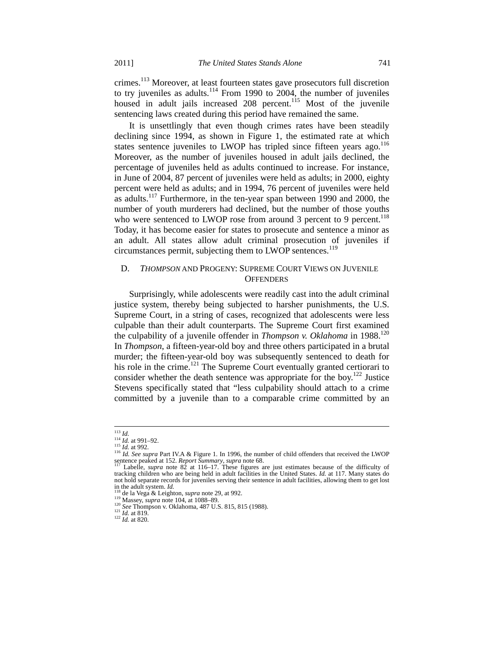crimes.113 Moreover, at least fourteen states gave prosecutors full discretion to try juveniles as adults.<sup>114</sup> From 1990 to 2004, the number of juveniles housed in adult jails increased 208 percent.<sup>115</sup> Most of the juvenile sentencing laws created during this period have remained the same.

It is unsettlingly that even though crimes rates have been steadily declining since 1994, as shown in Figure 1, the estimated rate at which states sentence juveniles to LWOP has tripled since fifteen years ago.<sup>116</sup> Moreover, as the number of juveniles housed in adult jails declined, the percentage of juveniles held as adults continued to increase. For instance, in June of 2004, 87 percent of juveniles were held as adults; in 2000, eighty percent were held as adults; and in 1994, 76 percent of juveniles were held as adults.<sup>117</sup> Furthermore, in the ten-year span between 1990 and 2000, the number of youth murderers had declined, but the number of those youths who were sentenced to LWOP rose from around 3 percent to 9 percent.<sup>118</sup> Today, it has become easier for states to prosecute and sentence a minor as an adult. All states allow adult criminal prosecution of juveniles if circumstances permit, subjecting them to LWOP sentences.<sup>119</sup>

# D. *THOMPSON* AND PROGENY: SUPREME COURT VIEWS ON JUVENILE **OFFENDERS**

Surprisingly, while adolescents were readily cast into the adult criminal justice system, thereby being subjected to harsher punishments, the U.S. Supreme Court, in a string of cases, recognized that adolescents were less culpable than their adult counterparts. The Supreme Court first examined the culpability of a juvenile offender in *Thompson v. Oklahoma* in 1988.<sup>120</sup> In *Thompson*, a fifteen-year-old boy and three others participated in a brutal murder; the fifteen-year-old boy was subsequently sentenced to death for his role in the crime.<sup>121</sup> The Supreme Court eventually granted certiorari to consider whether the death sentence was appropriate for the boy.<sup>122</sup> Justice Stevens specifically stated that "less culpability should attach to a crime committed by a juvenile than to a comparable crime committed by an

<sup>113</sup> *Id.* <sup>114</sup> *Id.* at 991–92. 115 *Id.* at 992. 116 *Id. See supra* Part IV.A & Figure 1. In 1996, the number of child offenders that received the LWOP sentence peaked at 152. *Report Summary*, *supra* note 68. 117 Labelle, *supra* note 82 at 116–17. These figures are just estimates because of the difficulty of <sup>117</sup> Labelle, *supra* note 82 at 116–17. These figures are j

tracking children who are being held in adult facilities in the United States. *Id.* at 117. Many states do not hold separate records for juveniles serving their sentence in adult facilities, allowing them to get lost  $\frac{118}{118}$ .

<sup>&</sup>lt;sup>118</sup> de la Vega & Leighton, *supra* note 29, at 992.<br>
<sup>119</sup> Massey, *supra* note 104, at 1088–89.<br>
<sup>120</sup> *See* Thompson v. Oklahoma, 487 U.S. 815, 815 (1988).<br>
<sup>121</sup> *Id.* at 819.<br>
<sup>122</sup> *Id.* at 820.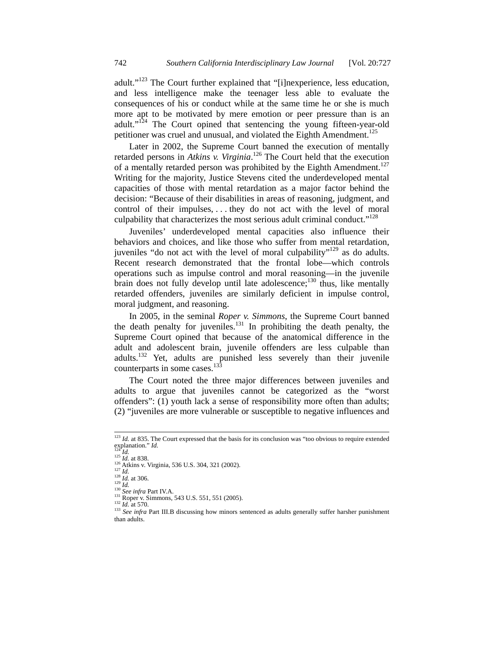adult."<sup>123</sup> The Court further explained that "[i]nexperience, less education, and less intelligence make the teenager less able to evaluate the consequences of his or conduct while at the same time he or she is much more apt to be motivated by mere emotion or peer pressure than is an adult."<sup>124</sup> The Court opined that sentencing the young fifteen-year-old petitioner was cruel and unusual, and violated the Eighth Amendment.<sup>125</sup>

Later in 2002, the Supreme Court banned the execution of mentally retarded persons in *Atkins v. Virginia*. 126 The Court held that the execution of a mentally retarded person was prohibited by the Eighth Amendment.<sup>127</sup> Writing for the majority, Justice Stevens cited the underdeveloped mental capacities of those with mental retardation as a major factor behind the decision: "Because of their disabilities in areas of reasoning, judgment, and control of their impulses, . . . they do not act with the level of moral culpability that characterizes the most serious adult criminal conduct."<sup>128</sup>

Juveniles' underdeveloped mental capacities also influence their behaviors and choices, and like those who suffer from mental retardation, juveniles "do not act with the level of moral culpability"<sup>129</sup> as do adults. Recent research demonstrated that the frontal lobe—which controls operations such as impulse control and moral reasoning—in the juvenile brain does not fully develop until late adolescence; $^{130}$  thus, like mentally retarded offenders, juveniles are similarly deficient in impulse control, moral judgment, and reasoning.

In 2005, in the seminal *Roper v. Simmons*, the Supreme Court banned the death penalty for juveniles. $^{131}$  In prohibiting the death penalty, the Supreme Court opined that because of the anatomical difference in the adult and adolescent brain, juvenile offenders are less culpable than adults.<sup>132</sup> Yet, adults are punished less severely than their juvenile counterparts in some cases.<sup>133</sup>

The Court noted the three major differences between juveniles and adults to argue that juveniles cannot be categorized as the "worst offenders": (1) youth lack a sense of responsibility more often than adults; (2) "juveniles are more vulnerable or susceptible to negative influences and

<sup>&</sup>lt;sup>123</sup> *Id.* at 835. The Court expressed that the basis for its conclusion was "too obvious to require extended explanation." *Id.* 

<sup>&</sup>lt;sup>124</sup>*Id.*<br>
<sup>125</sup>*Id.* at 838.<br>
<sup>126</sup> Atkins v. Virginia, 536 U.S. 304, 321 (2002).<br>
<sup>127</sup>*Id.*<br>
<sup>129</sup> *Id.* at 306.<br>
<sup>129</sup> *Id.* at 306.<br>
<sup>130</sup> *See infra* Part IV.A.<br>
<sup>131</sup> Roper v. Simmons, 543 U.S. 551, 551 (2005).<br>
<sup></sup> than adults.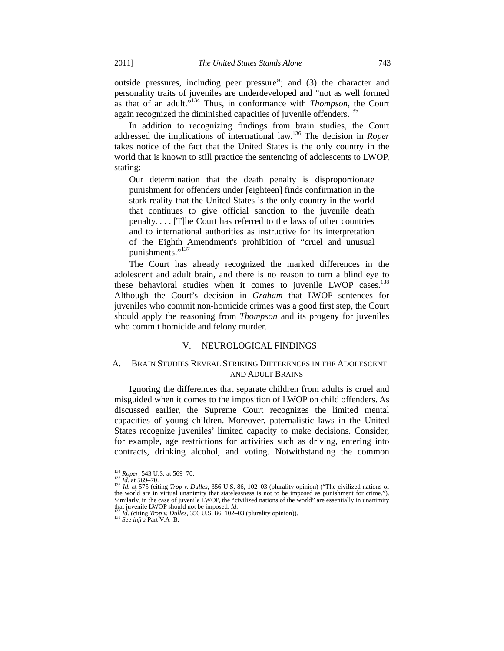outside pressures, including peer pressure"; and (3) the character and personality traits of juveniles are underdeveloped and "not as well formed as that of an adult."134 Thus, in conformance with *Thompson*, the Court again recognized the diminished capacities of juvenile offenders.<sup>135</sup>

In addition to recognizing findings from brain studies, the Court addressed the implications of international law.136 The decision in *Roper*  takes notice of the fact that the United States is the only country in the world that is known to still practice the sentencing of adolescents to LWOP, stating:

Our determination that the death penalty is disproportionate punishment for offenders under [eighteen] finds confirmation in the stark reality that the United States is the only country in the world that continues to give official sanction to the juvenile death penalty. . . . [T]he Court has referred to the laws of other countries and to international authorities as instructive for its interpretation of the Eighth Amendment's prohibition of "cruel and unusual punishments."<sup>137</sup>

The Court has already recognized the marked differences in the adolescent and adult brain, and there is no reason to turn a blind eye to these behavioral studies when it comes to juvenile LWOP cases.<sup>138</sup> Although the Court's decision in *Graham* that LWOP sentences for juveniles who commit non-homicide crimes was a good first step, the Court should apply the reasoning from *Thompson* and its progeny for juveniles who commit homicide and felony murder.

### V. NEUROLOGICAL FINDINGS

# A. BRAIN STUDIES REVEAL STRIKING DIFFERENCES IN THE ADOLESCENT AND ADULT BRAINS

Ignoring the differences that separate children from adults is cruel and misguided when it comes to the imposition of LWOP on child offenders. As discussed earlier, the Supreme Court recognizes the limited mental capacities of young children. Moreover, paternalistic laws in the United States recognize juveniles' limited capacity to make decisions. Consider, for example, age restrictions for activities such as driving, entering into contracts, drinking alcohol, and voting. Notwithstanding the common

<sup>&</sup>lt;sup>134</sup> *Roper*, 543 U.S. at 569–70.<br><sup>135</sup> *Id.* at 569–70.<br><sup>136</sup> *Id.* at 575 (citing *Trop v. Dulles*, 356 U.S. 86, 102–03 (plurality opinion) ("The civilized nations of the world are in virtual unanimity that statelessness is not to be imposed as punishment for crime."). Similarly, in the case of juvenile LWOP, the "civilized nations of the world" are essentially in unanimity that juvenile LWOP should not be imposed. *Id.* 

that juvenile LWOP should not be imposed. *Id.*<sup>137</sup> *Id.* (citing *Trop v. Dulles*, 356 U.S. 86, 102–03 (plurality opinion)). 138 *See infra* Part V.A–B.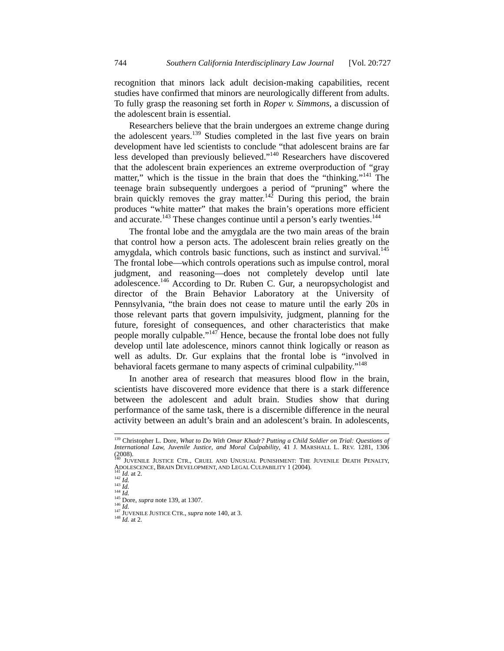recognition that minors lack adult decision-making capabilities, recent studies have confirmed that minors are neurologically different from adults. To fully grasp the reasoning set forth in *Roper v. Simmons*, a discussion of the adolescent brain is essential.

Researchers believe that the brain undergoes an extreme change during the adolescent years.<sup>139</sup> Studies completed in the last five years on brain development have led scientists to conclude "that adolescent brains are far less developed than previously believed."140 Researchers have discovered that the adolescent brain experiences an extreme overproduction of "gray matter," which is the tissue in the brain that does the "thinking."<sup>141</sup> The teenage brain subsequently undergoes a period of "pruning" where the brain quickly removes the gray matter.<sup>142</sup> During this period, the brain produces "white matter" that makes the brain's operations more efficient and accurate.<sup>143</sup> These changes continue until a person's early twenties.<sup>144</sup>

The frontal lobe and the amygdala are the two main areas of the brain that control how a person acts. The adolescent brain relies greatly on the amygdala, which controls basic functions, such as instinct and survival.<sup>145</sup> The frontal lobe—which controls operations such as impulse control, moral judgment, and reasoning—does not completely develop until late adolescence.<sup>146</sup> According to Dr. Ruben C. Gur, a neuropsychologist and director of the Brain Behavior Laboratory at the University of Pennsylvania, "the brain does not cease to mature until the early 20s in those relevant parts that govern impulsivity, judgment, planning for the future, foresight of consequences, and other characteristics that make people morally culpable."<sup>147</sup> Hence, because the frontal lobe does not fully develop until late adolescence, minors cannot think logically or reason as well as adults. Dr. Gur explains that the frontal lobe is "involved in behavioral facets germane to many aspects of criminal culpability."<sup>148</sup>

In another area of research that measures blood flow in the brain, scientists have discovered more evidence that there is a stark difference between the adolescent and adult brain. Studies show that during performance of the same task, there is a discernible difference in the neural activity between an adult's brain and an adolescent's brain. In adolescents,

<sup>&</sup>lt;sup>139</sup> Christopher L. Dore, *What to Do With Omar Khadr? Putting a Child Soldier on Trial: Questions of*<br>*International Law, Juvenile Justice, and Moral Culpability*, 41 J. MARSHALL L. REV. 1281, 1306 (2008).<br><sup>140</sup> JUVENILE JUSTICE CTR., CRUEL AND UNUSUAL PUNISHMENT: THE JUVENILE DEATH PENALTY,

ADOLESCENCE, BRAIN DEVELOPMENT, AND LEGAL CULPABILITY 1 (2004).<br>
<sup>141</sup> *Id.* at 2.<br>
<sup>142</sup> *Id.*<br>
<sup>143</sup> *Id.*<br>
<sup>143</sup> *Id.*<br>
<sup>143</sup> *Id.*<br>
<sup>145</sup> Dore, *supra* note 139, at 1307.<br>
<sup>146</sup> *Id.*<br>
<sup>147</sup> JUVENILE JUSTICE CTR., *su*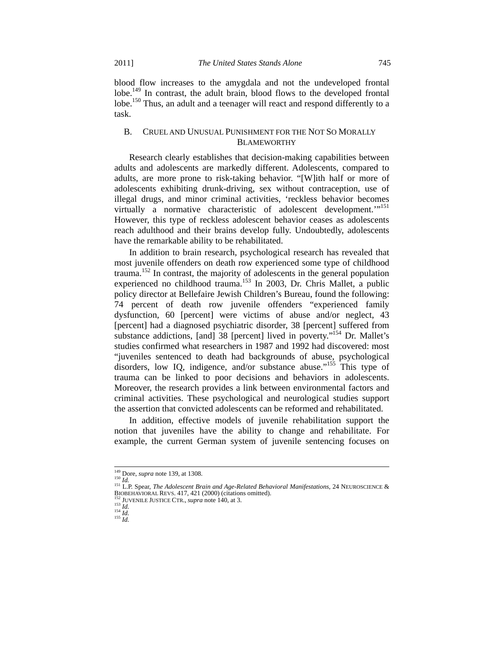blood flow increases to the amygdala and not the undeveloped frontal lobe.<sup>149</sup> In contrast, the adult brain, blood flows to the developed frontal lobe.<sup>150</sup> Thus, an adult and a teenager will react and respond differently to a task.

# B. CRUEL AND UNUSUAL PUNISHMENT FOR THE NOT SO MORALLY BLAMEWORTHY

Research clearly establishes that decision-making capabilities between adults and adolescents are markedly different. Adolescents, compared to adults, are more prone to risk-taking behavior. "[W]ith half or more of adolescents exhibiting drunk-driving, sex without contraception, use of illegal drugs, and minor criminal activities, 'reckless behavior becomes virtually a normative characteristic of adolescent development."<sup>151</sup> However, this type of reckless adolescent behavior ceases as adolescents reach adulthood and their brains develop fully. Undoubtedly, adolescents have the remarkable ability to be rehabilitated.

In addition to brain research, psychological research has revealed that most juvenile offenders on death row experienced some type of childhood trauma.152 In contrast, the majority of adolescents in the general population experienced no childhood trauma.<sup>153</sup> In 2003, Dr. Chris Mallet, a public policy director at Bellefaire Jewish Children's Bureau, found the following: 74 percent of death row juvenile offenders "experienced family dysfunction, 60 [percent] were victims of abuse and/or neglect, 43 [percent] had a diagnosed psychiatric disorder, 38 [percent] suffered from substance addictions, [and] 38 [percent] lived in poverty."<sup>154</sup> Dr. Mallet's studies confirmed what researchers in 1987 and 1992 had discovered: most "juveniles sentenced to death had backgrounds of abuse, psychological disorders, low IQ, indigence, and/or substance abuse."<sup>155</sup> This type of trauma can be linked to poor decisions and behaviors in adolescents. Moreover, the research provides a link between environmental factors and criminal activities. These psychological and neurological studies support the assertion that convicted adolescents can be reformed and rehabilitated.

In addition, effective models of juvenile rehabilitation support the notion that juveniles have the ability to change and rehabilitate. For example, the current German system of juvenile sentencing focuses on

<sup>&</sup>lt;sup>149</sup> Dore, *supra* note 139, at 1308.<br><sup>150</sup> *Id. Id. L.P. Spear, The Adolescent Brain and Age-Related Behavioral Manifestations*, 24 NEUROSCIENCE & **BIOBEHAVIORAL REVS.** 417, 421 (2000) (citations omitted).

 $\frac{152 \text{ JUENINGED KLEV}}{152 \text{ JUENILE JUSTICE CTR.}}$ *supra* note 140, at 3. 154 *Id.* 155 *Id.* 155 *Id.*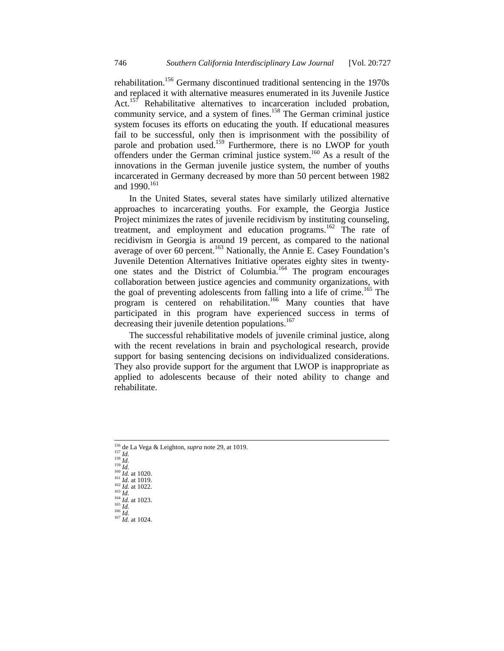rehabilitation.<sup>156</sup> Germany discontinued traditional sentencing in the 1970s and replaced it with alternative measures enumerated in its Juvenile Justice Act.<sup>157</sup> Rehabilitative alternatives to incarceration included probation, community service, and a system of fines.<sup>158</sup> The German criminal justice system focuses its efforts on educating the youth. If educational measures fail to be successful, only then is imprisonment with the possibility of parole and probation used.<sup>159</sup> Furthermore, there is no LWOP for youth offenders under the German criminal justice system.160 As a result of the innovations in the German juvenile justice system, the number of youths incarcerated in Germany decreased by more than 50 percent between 1982 and 1990.<sup>161</sup>

In the United States, several states have similarly utilized alternative approaches to incarcerating youths. For example, the Georgia Justice Project minimizes the rates of juvenile recidivism by instituting counseling, treatment, and employment and education programs.<sup>162</sup> The rate of recidivism in Georgia is around 19 percent, as compared to the national average of over 60 percent.<sup>163</sup> Nationally, the Annie E. Casey Foundation's Juvenile Detention Alternatives Initiative operates eighty sites in twentyone states and the District of Columbia.<sup>164</sup> The program encourages collaboration between justice agencies and community organizations, with the goal of preventing adolescents from falling into a life of crime.<sup>165</sup> The program is centered on rehabilitation.<sup>166</sup> Many counties that have participated in this program have experienced success in terms of decreasing their juvenile detention populations.<sup>167</sup>

The successful rehabilitative models of juvenile criminal justice, along with the recent revelations in brain and psychological research, provide support for basing sentencing decisions on individualized considerations. They also provide support for the argument that LWOP is inappropriate as applied to adolescents because of their noted ability to change and rehabilitate.

- 
- 

<sup>&</sup>lt;sup>156</sup> de La Vega & Leighton, *supra* note 29, at 1019.<br>
<sup>157</sup> *Id.*<br>
<sup>159</sup> *Id.*<br>
<sup>159</sup> *Id.*<br>
<sup>160</sup> *Id.* at 1020.<br>
<sup>161</sup> *Id.* at 1019.<br>
<sup>161</sup> *Id.* at 1019.<br>
<sup>161</sup> *Id.* at 1022.<br>
<sup>163</sup> *Id.*<br>
<sup>164</sup> *Id.* at 1023.<br>
<sup>16</sup>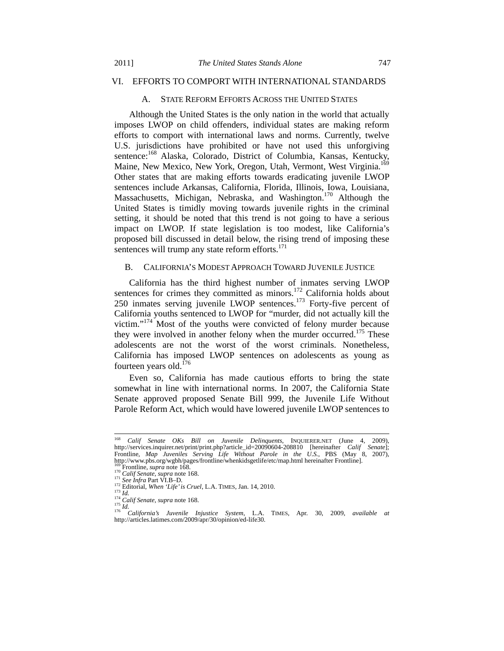#### VI. EFFORTS TO COMPORT WITH INTERNATIONAL STANDARDS

# A. STATE REFORM EFFORTS ACROSS THE UNITED STATES

Although the United States is the only nation in the world that actually imposes LWOP on child offenders, individual states are making reform efforts to comport with international laws and norms. Currently, twelve U.S. jurisdictions have prohibited or have not used this unforgiving sentence:<sup>168</sup> Alaska, Colorado, District of Columbia, Kansas, Kentucky, Maine, New Mexico, New York, Oregon, Utah, Vermont, West Virginia.<sup>169</sup> Other states that are making efforts towards eradicating juvenile LWOP sentences include Arkansas, California, Florida, Illinois, Iowa, Louisiana, Massachusetts, Michigan, Nebraska, and Washington.<sup>170</sup> Although the United States is timidly moving towards juvenile rights in the criminal setting, it should be noted that this trend is not going to have a serious impact on LWOP. If state legislation is too modest, like California's proposed bill discussed in detail below, the rising trend of imposing these sentences will trump any state reform efforts. $171$ 

#### B. CALIFORNIA'S MODEST APPROACH TOWARD JUVENILE JUSTICE

California has the third highest number of inmates serving LWOP sentences for crimes they committed as minors.<sup>172</sup> California holds about 250 inmates serving juvenile LWOP sentences.<sup>173</sup> Forty-five percent of California youths sentenced to LWOP for "murder, did not actually kill the victim."<sup>174</sup> Most of the youths were convicted of felony murder because they were involved in another felony when the murder occurred.<sup>175</sup> These adolescents are not the worst of the worst criminals. Nonetheless, California has imposed LWOP sentences on adolescents as young as fourteen years old.<sup>176</sup>

Even so, California has made cautious efforts to bring the state somewhat in line with international norms. In 2007, the California State Senate approved proposed Senate Bill 999, the Juvenile Life Without Parole Reform Act, which would have lowered juvenile LWOP sentences to

 <sup>168</sup> *Calif Senate OKs Bill on Juvenile Delinquents*, INQUIERER.NET (June 4, 2009), http://services.inquirer.net/print/print.php?article\_id=20090604-208810 [hereinafter *Calif Senate*]; Frontline, *Map Juveniles Serving Life Without Parole in the U.S.*, PBS (May 8, 2007), http://www.pbs.org/wgbh/pages/frontline/whenkidsgetlife/etc/map.html hereinafter Frontline].<br>
<sup>169</sup> Frontline, *supra* note 168.<br>
<sup>170</sup> Calif Senate, *supra* note 168.<br>
<sup>171</sup> See Infra Part VI.B-D.<br>
<sup>173</sup> Editorial, When '

http://articles.latimes.com/2009/apr/30/opinion/ed-life30.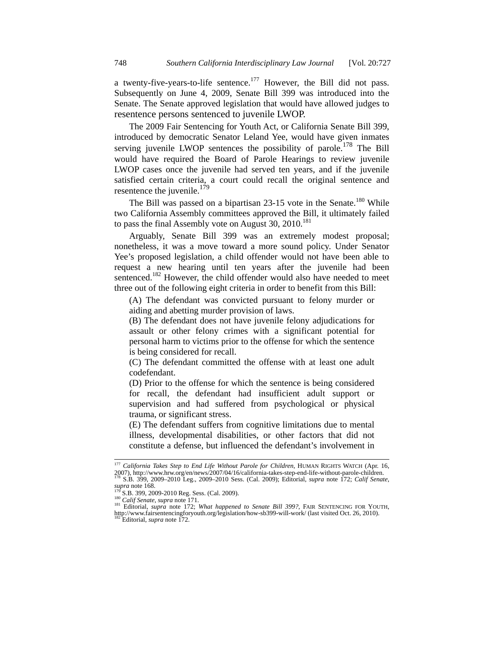a twenty-five-years-to-life sentence.<sup>177</sup> However, the Bill did not pass. Subsequently on June 4, 2009, Senate Bill 399 was introduced into the Senate. The Senate approved legislation that would have allowed judges to resentence persons sentenced to juvenile LWOP.

The 2009 Fair Sentencing for Youth Act, or California Senate Bill 399, introduced by democratic Senator Leland Yee, would have given inmates serving juvenile LWOP sentences the possibility of parole.<sup>178</sup> The Bill would have required the Board of Parole Hearings to review juvenile LWOP cases once the juvenile had served ten years, and if the juvenile satisfied certain criteria, a court could recall the original sentence and resentence the juvenile.<sup>179</sup>

The Bill was passed on a bipartisan 23-15 vote in the Senate.<sup>180</sup> While two California Assembly committees approved the Bill, it ultimately failed to pass the final Assembly vote on August 30,  $2010$ .<sup>181</sup>

Arguably, Senate Bill 399 was an extremely modest proposal; nonetheless, it was a move toward a more sound policy. Under Senator Yee's proposed legislation, a child offender would not have been able to request a new hearing until ten years after the juvenile had been sentenced.<sup>182</sup> However, the child offender would also have needed to meet three out of the following eight criteria in order to benefit from this Bill:

(A) The defendant was convicted pursuant to felony murder or aiding and abetting murder provision of laws.

(B) The defendant does not have juvenile felony adjudications for assault or other felony crimes with a significant potential for personal harm to victims prior to the offense for which the sentence is being considered for recall.

(C) The defendant committed the offense with at least one adult codefendant.

(D) Prior to the offense for which the sentence is being considered for recall, the defendant had insufficient adult support or supervision and had suffered from psychological or physical trauma, or significant stress.

(E) The defendant suffers from cognitive limitations due to mental illness, developmental disabilities, or other factors that did not constitute a defense, but influenced the defendant's involvement in

<sup>&</sup>lt;sup>177</sup> *California Takes Step to End Life Without Parole for Children*, HUMAN RIGHTS WATCH (Apr. 16, 2007), http://www.hrw.org/en/news/2007/04/16/california-takes-step-end-life-without-parole-children.<br><sup>178</sup> S.B. 399, 2009-

supra note 168.<br>
179 S.B. 399, 2009-2010 Reg. Sess. (Cal. 2009).<br>
180 Calif Senate, supra note 171.<br>
181 Editorial, *supra* note 172; What happened to Senate Bill 399?, FAIR SENTENCING FOR YOUTH,<br>
181 Editorial, *supra* n http://www.fairsentencingforyouth.org/legislation/how-sb399-will-work/ (last visited Oct. 26, 2010). 182 Editorial, *supra* note 172.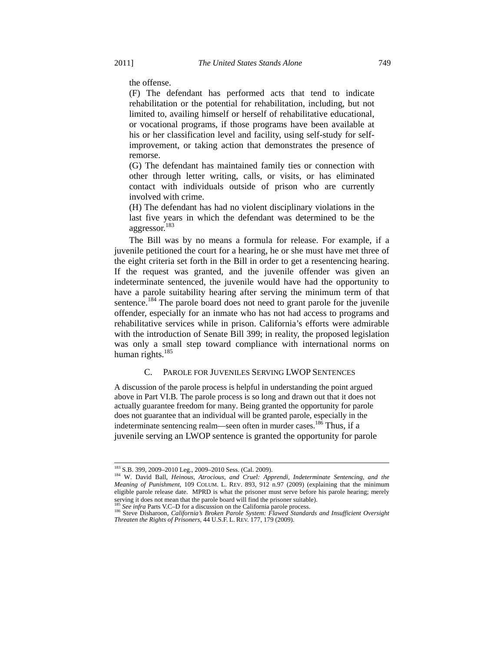the offense.

(F) The defendant has performed acts that tend to indicate rehabilitation or the potential for rehabilitation, including, but not limited to, availing himself or herself of rehabilitative educational, or vocational programs, if those programs have been available at his or her classification level and facility, using self-study for selfimprovement, or taking action that demonstrates the presence of remorse.

(G) The defendant has maintained family ties or connection with other through letter writing, calls, or visits, or has eliminated contact with individuals outside of prison who are currently involved with crime.

(H) The defendant has had no violent disciplinary violations in the last five years in which the defendant was determined to be the aggressor.<sup>183</sup>

The Bill was by no means a formula for release. For example, if a juvenile petitioned the court for a hearing, he or she must have met three of the eight criteria set forth in the Bill in order to get a resentencing hearing. If the request was granted, and the juvenile offender was given an indeterminate sentenced, the juvenile would have had the opportunity to have a parole suitability hearing after serving the minimum term of that sentence.<sup>184</sup> The parole board does not need to grant parole for the juvenile offender, especially for an inmate who has not had access to programs and rehabilitative services while in prison. California's efforts were admirable with the introduction of Senate Bill 399; in reality, the proposed legislation was only a small step toward compliance with international norms on human rights. $185$ 

# C. PAROLE FOR JUVENILES SERVING LWOP SENTENCES

A discussion of the parole process is helpful in understanding the point argued above in Part VI.B*.* The parole process is so long and drawn out that it does not actually guarantee freedom for many. Being granted the opportunity for parole does not guarantee that an individual will be granted parole, especially in the indeterminate sentencing realm—seen often in murder cases.<sup>186</sup> Thus, if a juvenile serving an LWOP sentence is granted the opportunity for parole

 <sup>183</sup> S.B. 399, 2009–2010 Leg., 2009–2010 Sess. (Cal. 2009). 184 W. David Ball, *Heinous, Atrocious, and Cruel: Apprendi, Indeterminate Sentencing, and the Meaning of Punishment*, 109 COLUM. L. REV. 893, 912 n.97 (2009) (explaining that the minimum eligible parole release date. MPRD is what the prisoner must serve before his parole hearing; merely serving it does not mean that the parole board will find the prisoner suitable).<br><sup>185</sup> See infra Parts V.C–D for a discussion on the California parole process.<br><sup>186</sup> Steve Disharoon, *California's Broken Parole System: Fla* 

*Threaten the Rights of Prisoners*, 44 U.S.F. L. REV. 177, 179 (2009).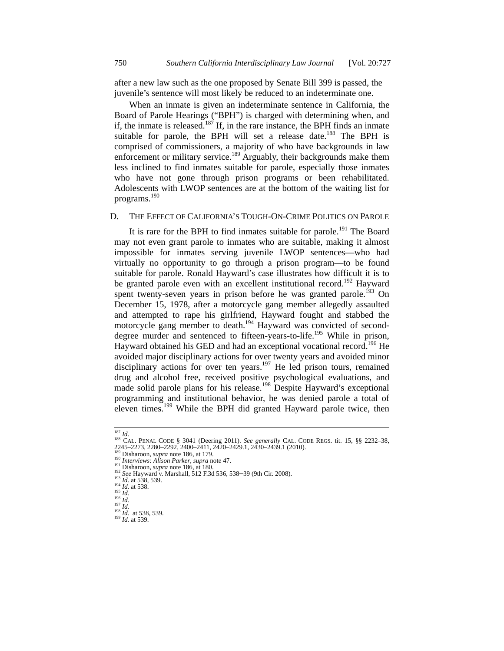after a new law such as the one proposed by Senate Bill 399 is passed, the juvenile's sentence will most likely be reduced to an indeterminate one.

When an inmate is given an indeterminate sentence in California, the Board of Parole Hearings ("BPH") is charged with determining when, and if, the inmate is released.<sup>187</sup> If, in the rare instance, the BPH finds an inmate suitable for parole, the BPH will set a release date.<sup>188</sup> The BPH is comprised of commissioners, a majority of who have backgrounds in law enforcement or military service.<sup>189</sup> Arguably, their backgrounds make them less inclined to find inmates suitable for parole, especially those inmates who have not gone through prison programs or been rehabilitated. Adolescents with LWOP sentences are at the bottom of the waiting list for programs.190

### D. THE EFFECT OF CALIFORNIA'S TOUGH-ON-CRIME POLITICS ON PAROLE

It is rare for the BPH to find inmates suitable for parole.<sup>191</sup> The Board may not even grant parole to inmates who are suitable, making it almost impossible for inmates serving juvenile LWOP sentences—who had virtually no opportunity to go through a prison program—to be found suitable for parole. Ronald Hayward's case illustrates how difficult it is to be granted parole even with an excellent institutional record.<sup>192</sup> Hayward spent twenty-seven years in prison before he was granted parole.<sup>193</sup> On December 15, 1978, after a motorcycle gang member allegedly assaulted and attempted to rape his girlfriend, Hayward fought and stabbed the motorcycle gang member to death.<sup>194</sup> Hayward was convicted of seconddegree murder and sentenced to fifteen-years-to-life.<sup>195</sup> While in prison, Hayward obtained his GED and had an exceptional vocational record.<sup>196</sup> He avoided major disciplinary actions for over twenty years and avoided minor disciplinary actions for over ten years.<sup>197</sup> He led prison tours, remained drug and alcohol free, received positive psychological evaluations, and made solid parole plans for his release.<sup>198</sup> Despite Hayward's exceptional programming and institutional behavior, he was denied parole a total of eleven times.<sup>199</sup> While the BPH did granted Hayward parole twice, then

<sup>&</sup>lt;sup>187</sup> *Id.*<br>
<sup>188</sup> CAL. PENAL CODE § 3041 (Deering 2011). *See generally* CAL. CODE REGS. tit. 15, §§ 2232–38,<br>
2245–2273, 2280–2292, 2400–2411, 2420–2429.1, 2430–2439.1 (2010).<br>
<sup>199</sup> Disharoon, *supra* note 186, at 179.<br>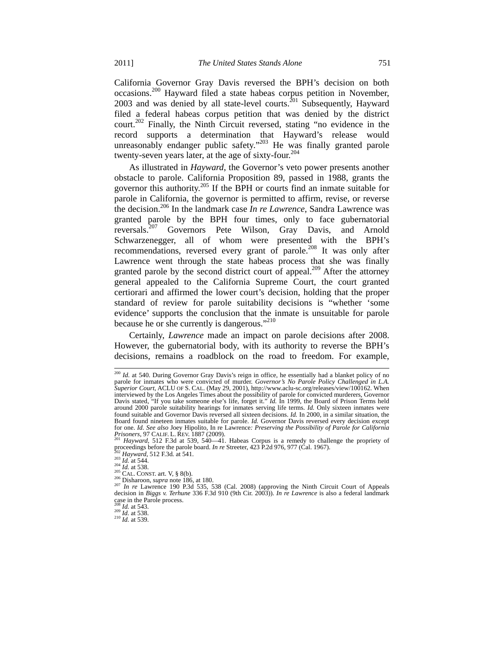California Governor Gray Davis reversed the BPH's decision on both occasions.200 Hayward filed a state habeas corpus petition in November, 2003 and was denied by all state-level courts.<sup>201</sup> Subsequently, Hayward filed a federal habeas corpus petition that was denied by the district court.<sup>202</sup> Finally, the Ninth Circuit reversed, stating "no evidence in the record supports a determination that Hayward's release would unreasonably endanger public safety."<sup>203</sup> He was finally granted parole twenty-seven years later, at the age of sixty-four.204

As illustrated in *Hayward*, the Governor's veto power presents another obstacle to parole. California Proposition 89, passed in 1988, grants the governor this authority.205 If the BPH or courts find an inmate suitable for parole in California, the governor is permitted to affirm, revise, or reverse the decision.206 In the landmark case *In re Lawrence*, Sandra Lawrence was granted parole by the BPH four times, only to face gubernatorial reversals.207 Governors Pete Wilson, Gray Davis, and Arnold Schwarzenegger, all of whom were presented with the BPH's recommendations, reversed every grant of parole.<sup>208</sup> It was only after Lawrence went through the state habeas process that she was finally granted parole by the second district court of appeal.<sup>209</sup> After the attorney general appealed to the California Supreme Court, the court granted certiorari and affirmed the lower court's decision, holding that the proper standard of review for parole suitability decisions is "whether 'some evidence' supports the conclusion that the inmate is unsuitable for parole because he or she currently is dangerous."<sup>210</sup>

Certainly, *Lawrence* made an impact on parole decisions after 2008. However, the gubernatorial body, with its authority to reverse the BPH's decisions, remains a roadblock on the road to freedom. For example,

<sup>&</sup>lt;sup>200</sup> Id. at 540. During Governor Gray Davis's reign in office, he essentially had a blanket policy of no parole for inmates who were convicted of murder. *Governor's No Parole Policy Challenged in L.A. Superior Court*, ACLU OF S. CAL. (May 29, 2001), http://www.aclu-sc.org/releases/view/100162. When interviewed by the Los Angeles Times about the possibility of parole for convicted murderers, Governor Davis stated, "If you take someone else's life, forget it." *Id.* In 1999, the Board of Prison Terms held around 2000 parole suitability hearings for inmates serving life terms. *Id.* Only sixteen inmates were found suitable and Governor Davis reversed all sixteen decisions. *Id.* In 2000, in a similar situation, the Board found nineteen inmates suitable for parole. *Id.* Governor Davis reversed every decision except for one. *Id. See also* Joey Hipolito, In re Lawrence*: Preserving the Possibility of Parole for California Prisoners*, 97 CALIF. L. REV. 1887 (2009).<br><sup>201</sup> *Hayward*, 512 F.3d at 539, 540—41. Habeas Corpus is a remedy to challenge the propriety of

proceedings before the parole board. *In re* Streeter, 423 P.2d 976, 977 (Cal. 1967).<br><sup>202</sup> Hayward, 512 F.3d. at 541.<br><sup>203</sup> Id. at 544.<br><sup>204</sup> Id. at 538.<br><sup>205</sup> CAL. CONST. art. V, § 8(b).<br><sup>205</sup> Disharoon, *supra* note 18

<sup>&</sup>lt;sup>207</sup> In re Lawrence 190 P.3d 535, 538 (Cal. 2008) (approving the Ninth Circuit Court of Appeals decision in Biggs v. Terhune 336 F.3d 910 (9th Cir. 2003)). *In re Lawrence* is also a federal landmark case in the Parole process.<br> $^{208}$  *Id.* at 543.

*Ia.* at 538.<br><sup>209</sup> *Id.* at 538.<br><sup>210</sup> *Id.* at 539.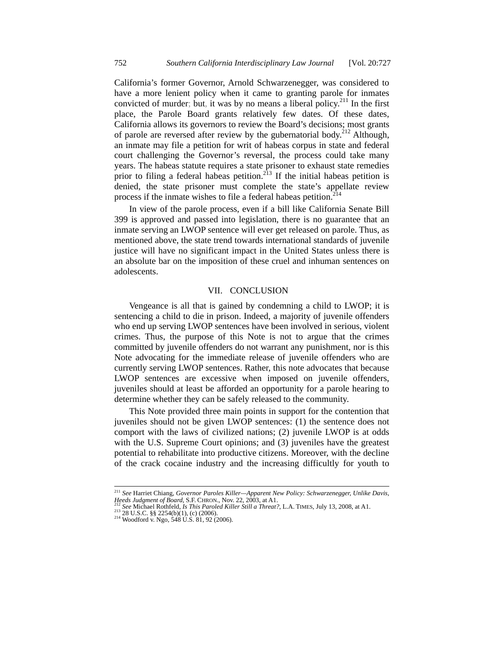California's former Governor, Arnold Schwarzenegger, was considered to have a more lenient policy when it came to granting parole for inmates convicted of murder; but, it was by no means a liberal policy.<sup>211</sup> In the first place, the Parole Board grants relatively few dates. Of these dates, California allows its governors to review the Board's decisions; most grants of parole are reversed after review by the gubernatorial body.<sup>212</sup> Although, an inmate may file a petition for writ of habeas corpus in state and federal court challenging the Governor's reversal, the process could take many years. The habeas statute requires a state prisoner to exhaust state remedies prior to filing a federal habeas petition.<sup>213</sup> If the initial habeas petition is denied, the state prisoner must complete the state's appellate review process if the inmate wishes to file a federal habeas petition.<sup>214</sup>

In view of the parole process, even if a bill like California Senate Bill 399 is approved and passed into legislation, there is no guarantee that an inmate serving an LWOP sentence will ever get released on parole. Thus, as mentioned above, the state trend towards international standards of juvenile justice will have no significant impact in the United States unless there is an absolute bar on the imposition of these cruel and inhuman sentences on adolescents.

#### VII. CONCLUSION

Vengeance is all that is gained by condemning a child to LWOP; it is sentencing a child to die in prison. Indeed, a majority of juvenile offenders who end up serving LWOP sentences have been involved in serious, violent crimes. Thus, the purpose of this Note is not to argue that the crimes committed by juvenile offenders do not warrant any punishment, nor is this Note advocating for the immediate release of juvenile offenders who are currently serving LWOP sentences. Rather, this note advocates that because LWOP sentences are excessive when imposed on juvenile offenders, juveniles should at least be afforded an opportunity for a parole hearing to determine whether they can be safely released to the community.

This Note provided three main points in support for the contention that juveniles should not be given LWOP sentences: (1) the sentence does not comport with the laws of civilized nations; (2) juvenile LWOP is at odds with the U.S. Supreme Court opinions; and (3) juveniles have the greatest potential to rehabilitate into productive citizens. Moreover, with the decline of the crack cocaine industry and the increasing difficultly for youth to

 <sup>211</sup> *See* Harriet Chiang, *Governor Paroles Killer—Apparent New Policy: Schwarzenegger, Unlike Davis, Heeds Judgment of Board*, S.F. CHRON., Nov. 22, 2003, at A1.<br><sup>212</sup> *See* Michael Rothfeld, *Is This Paroled Killer Still a Threat?*, L.A. TIMES, July 13, 2008, at A1.<br><sup>213</sup> 28 U.S.C. §§ 2254(b)(1), (c) (2006).<br><sup>214</sup> Wood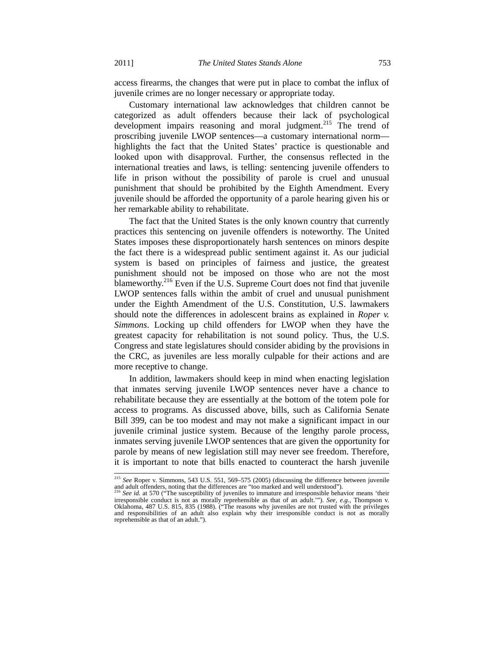access firearms, the changes that were put in place to combat the influx of juvenile crimes are no longer necessary or appropriate today.

Customary international law acknowledges that children cannot be categorized as adult offenders because their lack of psychological development impairs reasoning and moral judgment.<sup>215</sup> The trend of proscribing juvenile LWOP sentences—a customary international norm highlights the fact that the United States' practice is questionable and looked upon with disapproval. Further, the consensus reflected in the international treaties and laws, is telling: sentencing juvenile offenders to life in prison without the possibility of parole is cruel and unusual punishment that should be prohibited by the Eighth Amendment. Every juvenile should be afforded the opportunity of a parole hearing given his or her remarkable ability to rehabilitate.

The fact that the United States is the only known country that currently practices this sentencing on juvenile offenders is noteworthy. The United States imposes these disproportionately harsh sentences on minors despite the fact there is a widespread public sentiment against it. As our judicial system is based on principles of fairness and justice, the greatest punishment should not be imposed on those who are not the most blameworthy.<sup>216</sup> Even if the U.S. Supreme Court does not find that juvenile LWOP sentences falls within the ambit of cruel and unusual punishment under the Eighth Amendment of the U.S. Constitution, U.S. lawmakers should note the differences in adolescent brains as explained in *Roper v. Simmons*. Locking up child offenders for LWOP when they have the greatest capacity for rehabilitation is not sound policy. Thus, the U.S. Congress and state legislatures should consider abiding by the provisions in the CRC, as juveniles are less morally culpable for their actions and are more receptive to change.

In addition, lawmakers should keep in mind when enacting legislation that inmates serving juvenile LWOP sentences never have a chance to rehabilitate because they are essentially at the bottom of the totem pole for access to programs. As discussed above, bills, such as California Senate Bill 399, can be too modest and may not make a significant impact in our juvenile criminal justice system. Because of the lengthy parole process, inmates serving juvenile LWOP sentences that are given the opportunity for parole by means of new legislation still may never see freedom. Therefore, it is important to note that bills enacted to counteract the harsh juvenile

 <sup>215</sup> *See* Roper v. Simmons, 543 U.S. 551, 569–575 (2005) (discussing the difference between juvenile and adult offenders, noting that the differences are "too marked and well understood").<br><sup>216</sup> *See id.* at 570 ("The susceptibility of juveniles to immature and irresponsible behavior means 'their

irresponsible conduct is not as morally reprehensible as that of an adult.'"). *See, e.g.,* Thompson v. Oklahoma, 487 U.S. 815, 835 (1988). ("The reasons why juveniles are not trusted with the privileges and responsibilities of an adult also explain why their irresponsible conduct is not as morally reprehensible as that of an adult.").